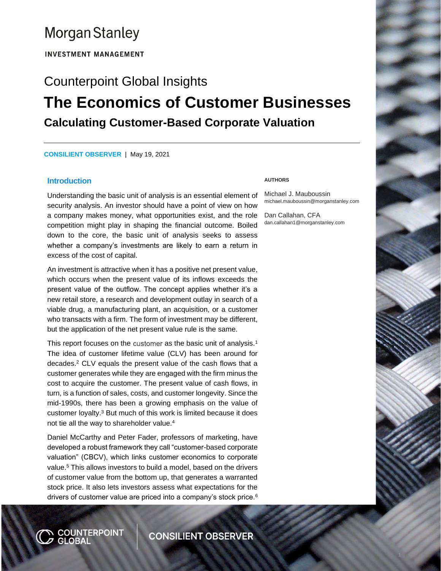# **Morgan Stanley**

**INVESTMENT MANAGEMENT** 

# Counterpoint Global Insights **The Economics of Customer Businesses Calculating Customer-Based Corporate Valuation**

**CONSILIENT OBSERVER** | May 19, 2021

### **Introduction**

Understanding the basic unit of analysis is an essential element of security analysis. An investor should have a point of view on how a company makes money, what opportunities exist, and the role Dan Callahan, CFA competition might play in shaping the financial outcome. Boiled down to the core, the basic unit of analysis seeks to assess whether a company's investments are likely to earn a return in excess of the cost of capital.

An investment is attractive when it has a positive net present value, which occurs when the present value of its inflows exceeds the present value of the outflow. The concept applies whether it's a new retail store, a research and development outlay in search of a viable drug, a manufacturing plant, an acquisition, or a customer who transacts with a firm. The form of investment may be different, but the application of the net present value rule is the same.

This report focuses on the customer as the basic unit of analysis.<sup>1</sup> The idea of customer lifetime value (CLV) has been around for decades.<sup>2</sup> CLV equals the present value of the cash flows that a customer generates while they are engaged with the firm minus the cost to acquire the customer. The present value of cash flows, in turn, is a function of sales, costs, and customer longevity. Since the mid-1990s, there has been a growing emphasis on the value of customer loyalty.<sup>3</sup> But much of this work is limited because it does not tie all the way to shareholder value.<sup>4</sup>

Daniel McCarthy and Peter Fader, professors of marketing, have developed a robust framework they call "customer-based corporate valuation" (CBCV), which links customer economics to corporate value.<sup>5</sup> This allows investors to build a model, based on the drivers of customer value from the bottom up, that generates a warranted stock price. It also lets investors assess what expectations for the drivers of customer value are priced into a company's stock price.<sup>6</sup>

N COUNTERPOINT<br>Ø GLOBAL

#### **AUTHORS**

Michael J. Mauboussin michael.mauboussin@morganstanley.com

dan.callahan1@morganstanley.com

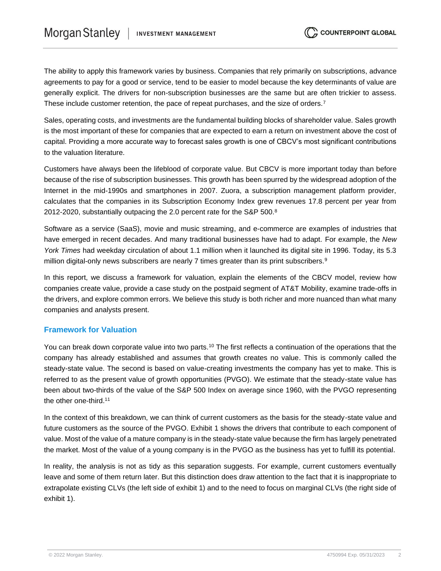The ability to apply this framework varies by business. Companies that rely primarily on subscriptions, advance agreements to pay for a good or service, tend to be easier to model because the key determinants of value are generally explicit. The drivers for non-subscription businesses are the same but are often trickier to assess. These include customer retention, the pace of repeat purchases, and the size of orders.<sup>7</sup>

Sales, operating costs, and investments are the fundamental building blocks of shareholder value. Sales growth is the most important of these for companies that are expected to earn a return on investment above the cost of capital. Providing a more accurate way to forecast sales growth is one of CBCV's most significant contributions to the valuation literature.

Customers have always been the lifeblood of corporate value. But CBCV is more important today than before because of the rise of subscription businesses. This growth has been spurred by the widespread adoption of the Internet in the mid-1990s and smartphones in 2007. Zuora, a subscription management platform provider, calculates that the companies in its Subscription Economy Index grew revenues 17.8 percent per year from 2012-2020, substantially outpacing the 2.0 percent rate for the S&P 500. $8$ 

Software as a service (SaaS), movie and music streaming, and e-commerce are examples of industries that have emerged in recent decades. And many traditional businesses have had to adapt. For example, the *New York Times* had weekday circulation of about 1.1 million when it launched its digital site in 1996. Today, its 5.3 million digital-only news subscribers are nearly 7 times greater than its print subscribers.<sup>9</sup>

In this report, we discuss a framework for valuation, explain the elements of the CBCV model, review how companies create value, provide a case study on the postpaid segment of AT&T Mobility, examine trade-offs in the drivers, and explore common errors. We believe this study is both richer and more nuanced than what many companies and analysts present.

## **Framework for Valuation**

You can break down corporate value into two parts.<sup>10</sup> The first reflects a continuation of the operations that the company has already established and assumes that growth creates no value. This is commonly called the steady-state value. The second is based on value-creating investments the company has yet to make. This is referred to as the present value of growth opportunities (PVGO). We estimate that the steady-state value has been about two-thirds of the value of the S&P 500 Index on average since 1960, with the PVGO representing the other one-third.<sup>11</sup>

In the context of this breakdown, we can think of current customers as the basis for the steady-state value and future customers as the source of the PVGO. Exhibit 1 shows the drivers that contribute to each component of value. Most of the value of a mature company is in the steady-state value because the firm has largely penetrated the market. Most of the value of a young company is in the PVGO as the business has yet to fulfill its potential.

In reality, the analysis is not as tidy as this separation suggests. For example, current customers eventually leave and some of them return later. But this distinction does draw attention to the fact that it is inappropriate to extrapolate existing CLVs (the left side of exhibit 1) and to the need to focus on marginal CLVs (the right side of exhibit 1).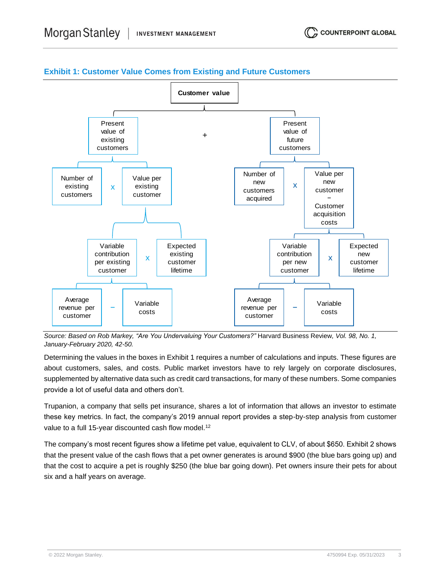

# **Exhibit 1: Customer Value Comes from Existing and Future Customers**

*Source: Based on Rob Markey, "Are You Undervaluing Your Customers?"* Harvard Business Review*, Vol. 98, No. 1, January-February 2020, 42-50.*

Determining the values in the boxes in Exhibit 1 requires a number of calculations and inputs. These figures are about customers, sales, and costs. Public market investors have to rely largely on corporate disclosures, supplemented by alternative data such as credit card transactions, for many of these numbers. Some companies provide a lot of useful data and others don't.

Trupanion, a company that sells pet insurance, shares a lot of information that allows an investor to estimate these key metrics. In fact, the company's 2019 annual report provides a step-by-step analysis from customer value to a full 15-year discounted cash flow model.<sup>12</sup>

The company's most recent figures show a lifetime pet value, equivalent to CLV, of about \$650. Exhibit 2 shows that the present value of the cash flows that a pet owner generates is around \$900 (the blue bars going up) and that the cost to acquire a pet is roughly \$250 (the blue bar going down). Pet owners insure their pets for about six and a half years on average.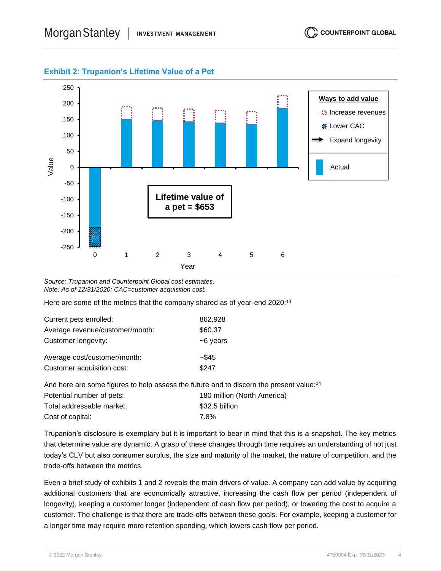

# **Exhibit 2: Trupanion's Lifetime Value of a Pet**

*Source: Trupanion and Counterpoint Global cost estimates. Note: As of 12/31/2020; CAC=customer acquisition cost.*

Here are some of the metrics that the company shared as of year-end 2020:<sup>13</sup>

| Current pets enrolled:          | 862,928  |
|---------------------------------|----------|
| Average revenue/customer/month: | \$60.37  |
| Customer longevity:             | ~6 years |
| Average cost/customer/month:    | $-$ \$45 |
| Customer acquisition cost:      | \$247    |

And here are some figures to help assess the future and to discern the present value:<sup>14</sup> Potential number of pets: 180 million (North America) Total addressable market: \$32.5 billion

Cost of capital: 7.8%

Trupanion's disclosure is exemplary but it is important to bear in mind that this is a snapshot. The key metrics that determine value are dynamic. A grasp of these changes through time requires an understanding of not just today's CLV but also consumer surplus, the size and maturity of the market, the nature of competition, and the trade-offs between the metrics.

Even a brief study of exhibits 1 and 2 reveals the main drivers of value. A company can add value by acquiring additional customers that are economically attractive, increasing the cash flow per period (independent of longevity), keeping a customer longer (independent of cash flow per period), or lowering the cost to acquire a customer. The challenge is that there are trade-offs between these goals. For example, keeping a customer for a longer time may require more retention spending, which lowers cash flow per period.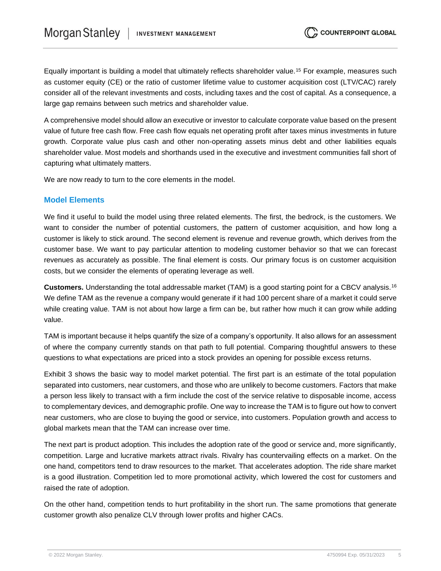Equally important is building a model that ultimately reflects shareholder value.<sup>15</sup> For example, measures such as customer equity (CE) or the ratio of customer lifetime value to customer acquisition cost (LTV/CAC) rarely consider all of the relevant investments and costs, including taxes and the cost of capital. As a consequence, a large gap remains between such metrics and shareholder value.

A comprehensive model should allow an executive or investor to calculate corporate value based on the present value of future free cash flow. Free cash flow equals net operating profit after taxes minus investments in future growth. Corporate value plus cash and other non-operating assets minus debt and other liabilities equals shareholder value. Most models and shorthands used in the executive and investment communities fall short of capturing what ultimately matters.

We are now ready to turn to the core elements in the model.

## **Model Elements**

We find it useful to build the model using three related elements. The first, the bedrock, is the customers. We want to consider the number of potential customers, the pattern of customer acquisition, and how long a customer is likely to stick around. The second element is revenue and revenue growth, which derives from the customer base. We want to pay particular attention to modeling customer behavior so that we can forecast revenues as accurately as possible. The final element is costs. Our primary focus is on customer acquisition costs, but we consider the elements of operating leverage as well.

**Customers.** Understanding the total addressable market (TAM) is a good starting point for a CBCV analysis.<sup>16</sup> We define TAM as the revenue a company would generate if it had 100 percent share of a market it could serve while creating value. TAM is not about how large a firm can be, but rather how much it can grow while adding value.

TAM is important because it helps quantify the size of a company's opportunity. It also allows for an assessment of where the company currently stands on that path to full potential. Comparing thoughtful answers to these questions to what expectations are priced into a stock provides an opening for possible excess returns.

Exhibit 3 shows the basic way to model market potential. The first part is an estimate of the total population separated into customers, near customers, and those who are unlikely to become customers. Factors that make a person less likely to transact with a firm include the cost of the service relative to disposable income, access to complementary devices, and demographic profile. One way to increase the TAM is to figure out how to convert near customers, who are close to buying the good or service, into customers. Population growth and access to global markets mean that the TAM can increase over time.

The next part is product adoption. This includes the adoption rate of the good or service and, more significantly, competition. Large and lucrative markets attract rivals. Rivalry has countervailing effects on a market. On the one hand, competitors tend to draw resources to the market. That accelerates adoption. The ride share market is a good illustration. Competition led to more promotional activity, which lowered the cost for customers and raised the rate of adoption.

On the other hand, competition tends to hurt profitability in the short run. The same promotions that generate customer growth also penalize CLV through lower profits and higher CACs.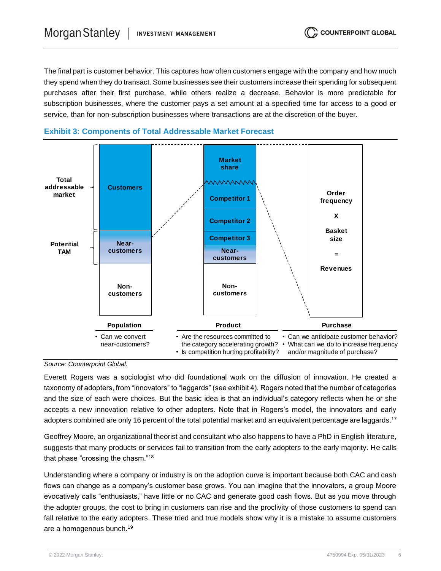The final part is customer behavior. This captures how often customers engage with the company and how much they spend when they do transact. Some businesses see their customers increase their spending for subsequent purchases after their first purchase, while others realize a decrease. Behavior is more predictable for subscription businesses, where the customer pays a set amount at a specified time for access to a good or service, than for non-subscription businesses where transactions are at the discretion of the buyer.



### **Exhibit 3: Components of Total Addressable Market Forecast**

Everett Rogers was a sociologist who did foundational work on the diffusion of innovation. He created a taxonomy of adopters, from "innovators" to "laggards" (see exhibit 4). Rogers noted that the number of categories and the size of each were choices. But the basic idea is that an individual's category reflects when he or she accepts a new innovation relative to other adopters. Note that in Rogers's model, the innovators and early adopters combined are only 16 percent of the total potential market and an equivalent percentage are laggards.<sup>17</sup>

Geoffrey Moore, an organizational theorist and consultant who also happens to have a PhD in English literature, suggests that many products or services fail to transition from the early adopters to the early majority. He calls that phase "crossing the chasm."<sup>18</sup>

Understanding where a company or industry is on the adoption curve is important because both CAC and cash flows can change as a company's customer base grows. You can imagine that the innovators, a group Moore evocatively calls "enthusiasts," have little or no CAC and generate good cash flows. But as you move through the adopter groups, the cost to bring in customers can rise and the proclivity of those customers to spend can fall relative to the early adopters. These tried and true models show why it is a mistake to assume customers are a homogenous bunch.<sup>19</sup>

*Source: Counterpoint Global.*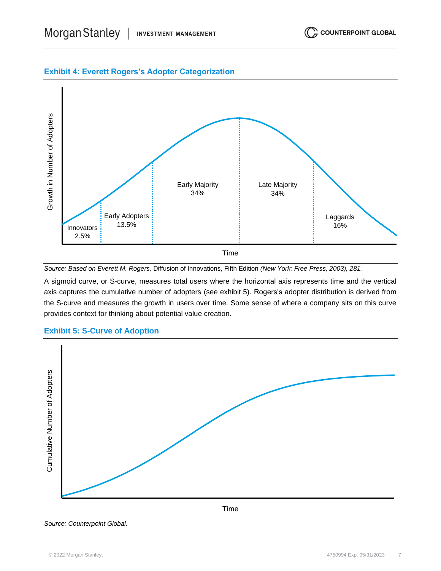## **Exhibit 4: Everett Rogers's Adopter Categorization**



*Source: Based on Everett M. Rogers,* Diffusion of Innovations, Fifth Edition *(New York: Free Press, 2003), 281.*

A sigmoid curve, or S-curve, measures total users where the horizontal axis represents time and the vertical axis captures the cumulative number of adopters (see exhibit 5). Rogers's adopter distribution is derived from the S-curve and measures the growth in users over time. Some sense of where a company sits on this curve provides context for thinking about potential value creation.

## **Exhibit 5: S-Curve of Adoption**

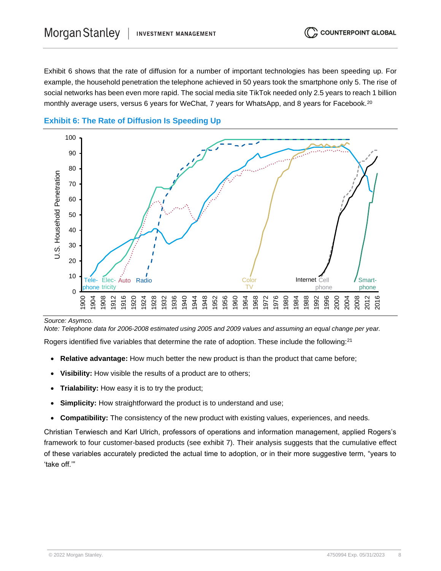Exhibit 6 shows that the rate of diffusion for a number of important technologies has been speeding up. For example, the household penetration the telephone achieved in 50 years took the smartphone only 5. The rise of social networks has been even more rapid. The social media site TikTok needed only 2.5 years to reach 1 billion monthly average users, versus 6 years for WeChat, 7 years for WhatsApp, and 8 years for Facebook.<sup>20</sup>





*Source: Asymco.*

*Note: Telephone data for 2006-2008 estimated using 2005 and 2009 values and assuming an equal change per year.* 

Rogers identified five variables that determine the rate of adoption. These include the following:<sup>21</sup>

- **Relative advantage:** How much better the new product is than the product that came before;
- **Visibility:** How visible the results of a product are to others;
- **Trialability:** How easy it is to try the product;
- **Simplicity:** How straightforward the product is to understand and use;
- **Compatibility:** The consistency of the new product with existing values, experiences, and needs.

Christian Terwiesch and Karl Ulrich, professors of operations and information management, applied Rogers's framework to four customer-based products (see exhibit 7). Their analysis suggests that the cumulative effect of these variables accurately predicted the actual time to adoption, or in their more suggestive term, "years to 'take off.'"

**COUNTERPOINT GLOBAL**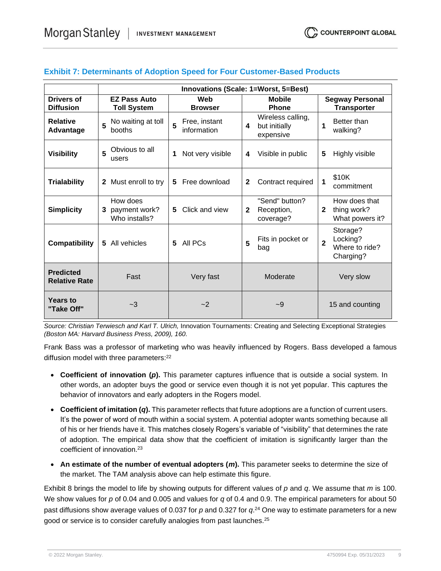|                                          | Innovations (Scale: 1=Worst, 5=Best)            |                                                        |                                                           |                                                                       |  |  |  |
|------------------------------------------|-------------------------------------------------|--------------------------------------------------------|-----------------------------------------------------------|-----------------------------------------------------------------------|--|--|--|
| <b>Drivers of</b><br><b>Diffusion</b>    | <b>EZ Pass Auto</b><br><b>Toll System</b>       | <b>Mobile</b><br>Web<br><b>Phone</b><br><b>Browser</b> |                                                           | <b>Segway Personal</b><br><b>Transporter</b>                          |  |  |  |
| <b>Relative</b><br>Advantage             | No waiting at toll<br>5<br>booths               | Free, instant<br>information                           | Wireless calling,<br>but initially<br>4<br>expensive      | Better than<br>1<br>walking?                                          |  |  |  |
| <b>Visibility</b>                        | Obvious to all<br>5<br>users                    | Not very visible<br>1                                  | Visible in public<br>4                                    | Highly visible<br>5                                                   |  |  |  |
| <b>Trialability</b>                      | 2 Must enroll to try                            | Free download<br>5                                     | Contract required<br>2                                    | \$10K<br>1<br>commitment                                              |  |  |  |
| <b>Simplicity</b>                        | How does<br>payment work?<br>3<br>Who installs? | Click and view<br>5                                    | "Send" button?<br>$\mathbf{2}$<br>Reception,<br>coverage? | How does that<br>thing work?<br>$\mathbf{2}$<br>What powers it?       |  |  |  |
| <b>Compatibility</b>                     | All vehicles<br>5.                              | All PCs<br>5                                           | Fits in pocket or<br>5<br>bag                             | Storage?<br>Locking?<br>$\overline{2}$<br>Where to ride?<br>Charging? |  |  |  |
| <b>Predicted</b><br><b>Relative Rate</b> | Fast                                            | Very fast<br>Moderate                                  |                                                           | Very slow                                                             |  |  |  |
| <b>Years to</b><br>"Take Off"            | $-3$                                            | $-2$<br>$-9$                                           |                                                           | 15 and counting                                                       |  |  |  |

## **Exhibit 7: Determinants of Adoption Speed for Four Customer-Based Products**

*Source: Christian Terwiesch and Karl T. Ulrich,* Innovation Tournaments: Creating and Selecting Exceptional Strategies *(Boston MA: Harvard Business Press, 2009), 160.*

Frank Bass was a professor of marketing who was heavily influenced by Rogers. Bass developed a famous diffusion model with three parameters:<sup>22</sup>

- **Coefficient of innovation (***p***).** This parameter captures influence that is outside a social system. In other words, an adopter buys the good or service even though it is not yet popular. This captures the behavior of innovators and early adopters in the Rogers model.
- **Coefficient of imitation (***q***).** This parameter reflects that future adoptions are a function of current users. It's the power of word of mouth within a social system. A potential adopter wants something because all of his or her friends have it. This matches closely Rogers's variable of "visibility" that determines the rate of adoption. The empirical data show that the coefficient of imitation is significantly larger than the coefficient of innovation.<sup>23</sup>
- **An estimate of the number of eventual adopters (***m***).** This parameter seeks to determine the size of the market. The TAM analysis above can help estimate this figure.

Exhibit 8 brings the model to life by showing outputs for different values of *p* and *q*. We assume that *m* is 100. We show values for *p* of 0.04 and 0.005 and values for *q* of 0.4 and 0.9. The empirical parameters for about 50 past diffusions show average values of 0.037 for *p* and 0.327 for *q*. <sup>24</sup> One way to estimate parameters for a new good or service is to consider carefully analogies from past launches.25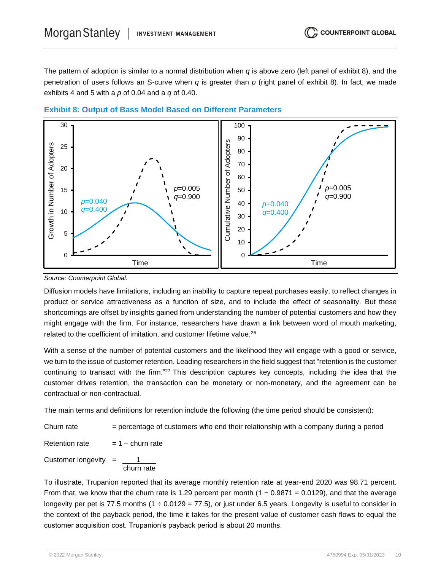The pattern of adoption is similar to a normal distribution when *q* is above zero (left panel of exhibit 8), and the penetration of users follows an S-curve when *q* is greater than *p* (right panel of exhibit 8). In fact, we made exhibits 4 and 5 with a *p* of 0.04 and a *q* of 0.40.





#### *Source: Counterpoint Global.*

Diffusion models have limitations, including an inability to capture repeat purchases easily, to reflect changes in product or service attractiveness as a function of size, and to include the effect of seasonality. But these shortcomings are offset by insights gained from understanding the number of potential customers and how they might engage with the firm. For instance, researchers have drawn a link between word of mouth marketing, related to the coefficient of imitation, and customer lifetime value.<sup>26</sup>

With a sense of the number of potential customers and the likelihood they will engage with a good or service, we turn to the issue of customer retention. Leading researchers in the field suggest that "retention is the customer continuing to transact with the firm."<sup>27</sup> This description captures key concepts, including the idea that the customer drives retention, the transaction can be monetary or non-monetary, and the agreement can be contractual or non-contractual.

The main terms and definitions for retention include the following (the time period should be consistent):

Churn rate = percentage of customers who end their relationship with a company during a period

Retention rate  $= 1 -$  churn rate

Customer longevity  $=$ churn rate

To illustrate, Trupanion reported that its average monthly retention rate at year-end 2020 was 98.71 percent. From that, we know that the churn rate is 1.29 percent per month (1 – 0.9871 = 0.0129), and that the average longevity per pet is 77.5 months (1  $\div$  0.0129 = 77.5), or just under 6.5 years. Longevity is useful to consider in the context of the payback period, the time it takes for the present value of customer cash flows to equal the customer acquisition cost. Trupanion's payback period is about 20 months.

**COUNTERPOINT GLOBAL**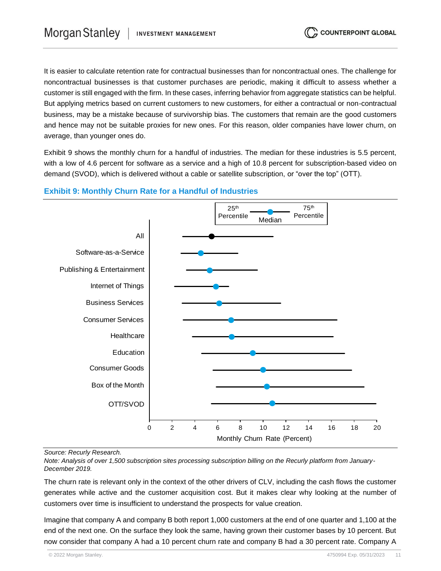It is easier to calculate retention rate for contractual businesses than for noncontractual ones. The challenge for noncontractual businesses is that customer purchases are periodic, making it difficult to assess whether a customer is still engaged with the firm. In these cases, inferring behavior from aggregate statistics can be helpful. But applying metrics based on current customers to new customers, for either a contractual or non-contractual business, may be a mistake because of survivorship bias. The customers that remain are the good customers and hence may not be suitable proxies for new ones. For this reason, older companies have lower churn, on average, than younger ones do.

Exhibit 9 shows the monthly churn for a handful of industries. The median for these industries is 5.5 percent, with a low of 4.6 percent for software as a service and a high of 10.8 percent for subscription-based video on demand (SVOD), which is delivered without a cable or satellite subscription, or "over the top" (OTT).



## **Exhibit 9: Monthly Churn Rate for a Handful of Industries**

*Source: Recurly Research.*

*Note: Analysis of over 1,500 subscription sites processing subscription billing on the Recurly platform from January-December 2019.*

The churn rate is relevant only in the context of the other drivers of CLV, including the cash flows the customer generates while active and the customer acquisition cost. But it makes clear why looking at the number of customers over time is insufficient to understand the prospects for value creation.

Imagine that company A and company B both report 1,000 customers at the end of one quarter and 1,100 at the end of the next one. On the surface they look the same, having grown their customer bases by 10 percent. But now consider that company A had a 10 percent churn rate and company B had a 30 percent rate. Company A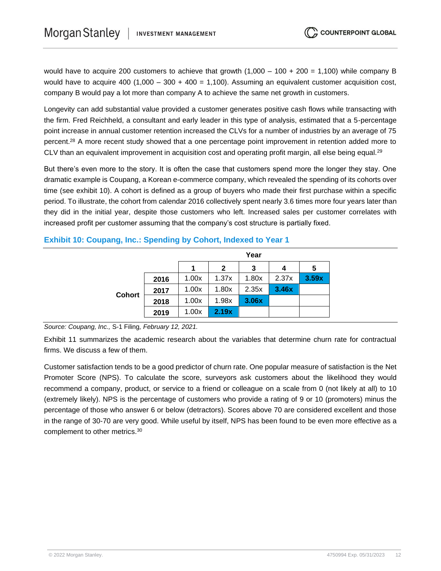would have to acquire 200 customers to achieve that growth (1,000 – 100 + 200 = 1,100) while company B would have to acquire 400 (1,000 – 300 + 400 = 1,100). Assuming an equivalent customer acquisition cost, company B would pay a lot more than company A to achieve the same net growth in customers.

Longevity can add substantial value provided a customer generates positive cash flows while transacting with the firm. Fred Reichheld, a consultant and early leader in this type of analysis, estimated that a 5-percentage point increase in annual customer retention increased the CLVs for a number of industries by an average of 75 percent.<sup>28</sup> A more recent study showed that a one percentage point improvement in retention added more to CLV than an equivalent improvement in acquisition cost and operating profit margin, all else being equal.<sup>29</sup>

But there's even more to the story. It is often the case that customers spend more the longer they stay. One dramatic example is Coupang, a Korean e-commerce company, which revealed the spending of its cohorts over time (see exhibit 10). A cohort is defined as a group of buyers who made their first purchase within a specific period. To illustrate, the cohort from calendar 2016 collectively spent nearly 3.6 times more four years later than they did in the initial year, despite those customers who left. Increased sales per customer correlates with increased profit per customer assuming that the company's cost structure is partially fixed.

|               |      | Year  |       |       |       |       |
|---------------|------|-------|-------|-------|-------|-------|
|               |      | 1     | 2     | 3     | 4     | 5     |
| <b>Cohort</b> | 2016 | 1.00x | 1.37x | 1.80x | 2.37x | 3.59x |
|               | 2017 | 1.00x | 1.80x | 2.35x | 3.46x |       |
|               | 2018 | 1.00x | 1.98x | 3.06x |       |       |
|               | 2019 | 1.00x | 2.19x |       |       |       |

## **Exhibit 10: Coupang, Inc.: Spending by Cohort, Indexed to Year 1**

*Source: Coupang, Inc.,* S-1 Filing*, February 12, 2021.*

Exhibit 11 summarizes the academic research about the variables that determine churn rate for contractual firms. We discuss a few of them.

Customer satisfaction tends to be a good predictor of churn rate. One popular measure of satisfaction is the Net Promoter Score (NPS). To calculate the score, surveyors ask customers about the likelihood they would recommend a company, product, or service to a friend or colleague on a scale from 0 (not likely at all) to 10 (extremely likely). NPS is the percentage of customers who provide a rating of 9 or 10 (promoters) minus the percentage of those who answer 6 or below (detractors). Scores above 70 are considered excellent and those in the range of 30-70 are very good. While useful by itself, NPS has been found to be even more effective as a complement to other metrics.30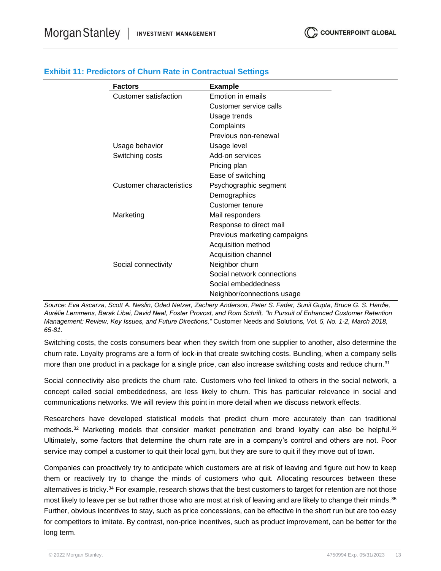| <b>Factors</b>           | <b>Example</b>               |
|--------------------------|------------------------------|
| Customer satisfaction    | Emotion in emails            |
|                          | Customer service calls       |
|                          | Usage trends                 |
|                          | Complaints                   |
|                          | Previous non-renewal         |
| Usage behavior           | Usage level                  |
| Switching costs          | Add-on services              |
|                          | Pricing plan                 |
|                          | Ease of switching            |
| Customer characteristics | Psychographic segment        |
|                          | Demographics                 |
|                          | Customer tenure              |
| Marketing                | Mail responders              |
|                          | Response to direct mail      |
|                          | Previous marketing campaigns |
|                          | Acquisition method           |
|                          | Acquisition channel          |
| Social connectivity      | Neighbor churn               |
|                          | Social network connections   |
|                          | Social embeddedness          |
|                          | Neighbor/connections usage   |

## **Exhibit 11: Predictors of Churn Rate in Contractual Settings**

*Source: Eva Ascarza, Scott A. Neslin, Oded Netzer, Zachery Anderson, Peter S. Fader, Sunil Gupta, Bruce G. S. Hardie, Aurélie Lemmens, Barak Libai, David Neal, Foster Provost, and Rom Schrift, "In Pursuit of Enhanced Customer Retention Management: Review, Key Issues, and Future Directions,"* Customer Needs and Solutions*, Vol. 5, No. 1-2, March 2018, 65-81.*

Switching costs, the costs consumers bear when they switch from one supplier to another, also determine the churn rate. Loyalty programs are a form of lock-in that create switching costs. Bundling, when a company sells more than one product in a package for a single price, can also increase switching costs and reduce churn.<sup>31</sup>

Social connectivity also predicts the churn rate. Customers who feel linked to others in the social network, a concept called social embeddedness, are less likely to churn. This has particular relevance in social and communications networks. We will review this point in more detail when we discuss network effects.

Researchers have developed statistical models that predict churn more accurately than can traditional methods.<sup>32</sup> Marketing models that consider market penetration and brand loyalty can also be helpful.<sup>33</sup> Ultimately, some factors that determine the churn rate are in a company's control and others are not. Poor service may compel a customer to quit their local gym, but they are sure to quit if they move out of town.

Companies can proactively try to anticipate which customers are at risk of leaving and figure out how to keep them or reactively try to change the minds of customers who quit. Allocating resources between these alternatives is tricky.<sup>34</sup> For example, research shows that the best customers to target for retention are not those most likely to leave per se but rather those who are most at risk of leaving and are likely to change their minds.<sup>35</sup> Further, obvious incentives to stay, such as price concessions, can be effective in the short run but are too easy for competitors to imitate. By contrast, non-price incentives, such as product improvement, can be better for the long term.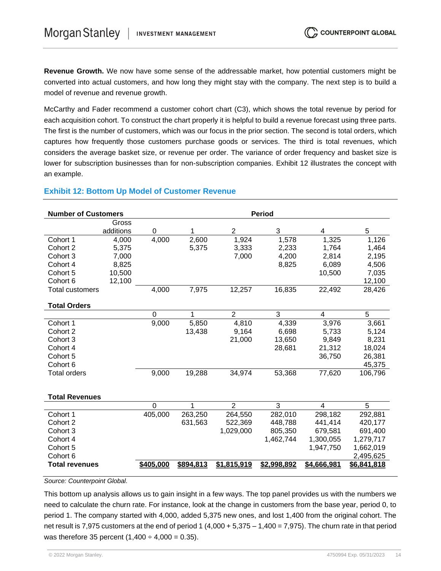**Revenue Growth.** We now have some sense of the addressable market, how potential customers might be converted into actual customers, and how long they might stay with the company. The next step is to build a model of revenue and revenue growth.

McCarthy and Fader recommend a customer cohort chart (C3), which shows the total revenue by period for each acquisition cohort. To construct the chart properly it is helpful to build a revenue forecast using three parts. The first is the number of customers, which was our focus in the prior section. The second is total orders, which captures how frequently those customers purchase goods or services. The third is total revenues, which considers the average basket size, or revenue per order. The variance of order frequency and basket size is lower for subscription businesses than for non-subscription companies. Exhibit 12 illustrates the concept with an example.

|  |  |  |  |  | <b>Exhibit 12: Bottom Up Model of Customer Revenue</b> |  |
|--|--|--|--|--|--------------------------------------------------------|--|
|--|--|--|--|--|--------------------------------------------------------|--|

| <b>Number of Customers</b> |           |           |           |                | <b>Period</b> |                         |             |
|----------------------------|-----------|-----------|-----------|----------------|---------------|-------------------------|-------------|
|                            | Gross     |           |           |                |               |                         |             |
|                            | additions | 0         | 1         | $\overline{2}$ | 3             | 4                       | 5           |
| Cohort 1                   | 4,000     | 4,000     | 2,600     | 1,924          | 1,578         | 1,325                   | 1,126       |
| Cohort 2                   | 5,375     |           | 5,375     | 3,333          | 2,233         | 1,764                   | 1,464       |
| Cohort 3                   | 7,000     |           |           | 7,000          | 4,200         | 2,814                   | 2,195       |
| Cohort 4                   | 8,825     |           |           |                | 8,825         | 6,089                   | 4,506       |
| Cohort 5                   | 10,500    |           |           |                |               | 10,500                  | 7,035       |
| Cohort 6                   | 12,100    |           |           |                |               |                         | 12,100      |
| <b>Total customers</b>     |           | 4,000     | 7,975     | 12,257         | 16,835        | 22,492                  | 28,426      |
| <b>Total Orders</b>        |           |           |           |                |               |                         |             |
|                            |           | 0         | 1         | $\overline{2}$ | 3             | 4                       | 5           |
| Cohort 1                   |           | 9,000     | 5,850     | 4,810          | 4,339         | 3,976                   | 3,661       |
| Cohort 2                   |           |           | 13,438    | 9,164          | 6,698         | 5,733                   | 5,124       |
| Cohort 3                   |           |           |           | 21,000         | 13,650        | 9,849                   | 8,231       |
| Cohort 4                   |           |           |           |                | 28,681        | 21,312                  | 18,024      |
| Cohort 5                   |           |           |           |                |               | 36,750                  | 26,381      |
| Cohort 6                   |           |           |           |                |               |                         | 45,375      |
| <b>Total orders</b>        |           | 9,000     | 19,288    | 34,974         | 53,368        | 77,620                  | 106,796     |
|                            |           |           |           |                |               |                         |             |
| <b>Total Revenues</b>      |           |           |           |                |               |                         |             |
|                            |           | $\Omega$  | 1         | $\overline{2}$ | 3             | $\overline{\mathbf{4}}$ | 5           |
| Cohort 1                   |           | 405,000   | 263,250   | 264,550        | 282,010       | 298,182                 | 292,881     |
| Cohort 2                   |           |           | 631,563   | 522,369        | 448,788       | 441,414                 | 420,177     |
| Cohort 3                   |           |           |           | 1,029,000      | 805,350       | 679,581                 | 691,400     |
| Cohort 4                   |           |           |           |                | 1,462,744     | 1,300,055               | 1,279,717   |
| Cohort 5                   |           |           |           |                |               | 1,947,750               | 1,662,019   |
| Cohort 6                   |           |           |           |                |               |                         | 2,495,625   |
| <b>Total revenues</b>      |           | \$405.000 | \$894,813 | \$1,815,919    | \$2.998.892   | \$4,666,981             | \$6,841,818 |
|                            |           |           |           |                |               |                         |             |

*Source: Counterpoint Global.*

This bottom up analysis allows us to gain insight in a few ways. The top panel provides us with the numbers we need to calculate the churn rate. For instance, look at the change in customers from the base year, period 0, to period 1. The company started with 4,000, added 5,375 new ones, and lost 1,400 from the original cohort. The net result is 7,975 customers at the end of period 1  $(4,000 + 5,375 - 1,400 = 7,975)$ . The churn rate in that period was therefore 35 percent  $(1,400 \div 4,000 = 0.35)$ .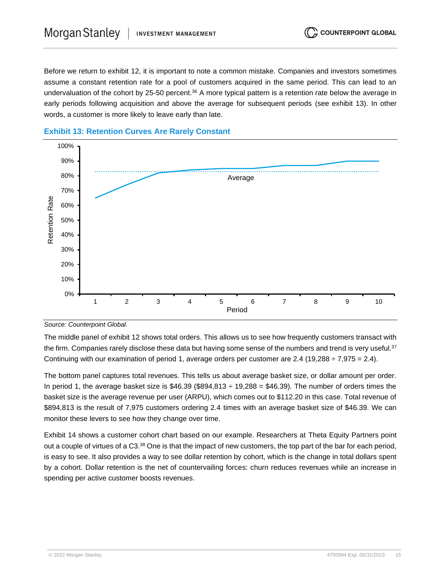Before we return to exhibit 12, it is important to note a common mistake. Companies and investors sometimes assume a constant retention rate for a pool of customers acquired in the same period. This can lead to an undervaluation of the cohort by 25-50 percent.<sup>36</sup> A more typical pattern is a retention rate below the average in early periods following acquisition and above the average for subsequent periods (see exhibit 13). In other words, a customer is more likely to leave early than late.



## **Exhibit 13: Retention Curves Are Rarely Constant**

*Source: Counterpoint Global.*

The middle panel of exhibit 12 shows total orders. This allows us to see how frequently customers transact with the firm. Companies rarely disclose these data but having some sense of the numbers and trend is very useful.<sup>37</sup> Continuing with our examination of period 1, average orders per customer are  $2.4$  (19,288  $\div$  7,975 = 2.4).

The bottom panel captures total revenues. This tells us about average basket size, or dollar amount per order. In period 1, the average basket size is \$46.39 (\$894,813  $\div$  19,288 = \$46.39). The number of orders times the basket size is the average revenue per user (ARPU), which comes out to \$112.20 in this case. Total revenue of \$894,813 is the result of 7,975 customers ordering 2.4 times with an average basket size of \$46.39. We can monitor these levers to see how they change over time.

Exhibit 14 shows a customer cohort chart based on our example. Researchers at Theta Equity Partners point out a couple of virtues of a C3.<sup>38</sup> One is that the impact of new customers, the top part of the bar for each period, is easy to see. It also provides a way to see dollar retention by cohort, which is the change in total dollars spent by a cohort. Dollar retention is the net of countervailing forces: churn reduces revenues while an increase in spending per active customer boosts revenues.

**COUNTERPOINT GLOBAL**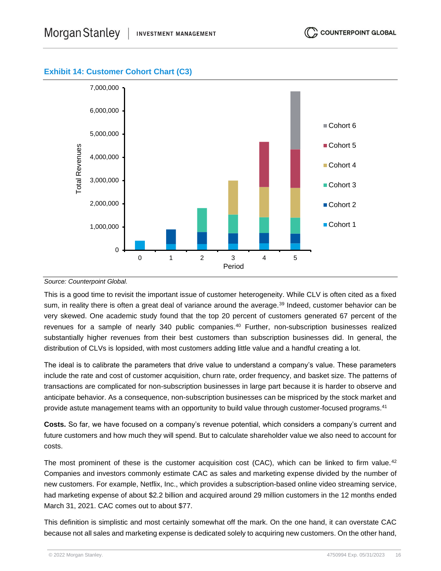



#### *Source: Counterpoint Global.*

This is a good time to revisit the important issue of customer heterogeneity. While CLV is often cited as a fixed sum, in reality there is often a great deal of variance around the average.<sup>39</sup> Indeed, customer behavior can be very skewed. One academic study found that the top 20 percent of customers generated 67 percent of the revenues for a sample of nearly 340 public companies.<sup>40</sup> Further, non-subscription businesses realized substantially higher revenues from their best customers than subscription businesses did. In general, the distribution of CLVs is lopsided, with most customers adding little value and a handful creating a lot.

The ideal is to calibrate the parameters that drive value to understand a company's value. These parameters include the rate and cost of customer acquisition, churn rate, order frequency, and basket size. The patterns of transactions are complicated for non-subscription businesses in large part because it is harder to observe and anticipate behavior. As a consequence, non-subscription businesses can be mispriced by the stock market and provide astute management teams with an opportunity to build value through customer-focused programs.<sup>41</sup>

**Costs.** So far, we have focused on a company's revenue potential, which considers a company's current and future customers and how much they will spend. But to calculate shareholder value we also need to account for costs.

The most prominent of these is the customer acquisition cost (CAC), which can be linked to firm value.<sup>42</sup> Companies and investors commonly estimate CAC as sales and marketing expense divided by the number of new customers. For example, Netflix, Inc., which provides a subscription-based online video streaming service, had marketing expense of about \$2.2 billion and acquired around 29 million customers in the 12 months ended March 31, 2021. CAC comes out to about \$77.

This definition is simplistic and most certainly somewhat off the mark. On the one hand, it can overstate CAC because not all sales and marketing expense is dedicated solely to acquiring new customers. On the other hand,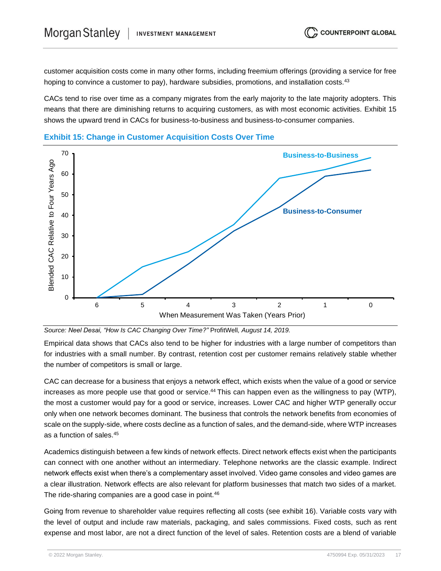customer acquisition costs come in many other forms, including freemium offerings (providing a service for free hoping to convince a customer to pay), hardware subsidies, promotions, and installation costs.<sup>43</sup>

CACs tend to rise over time as a company migrates from the early majority to the late majority adopters. This means that there are diminishing returns to acquiring customers, as with most economic activities. Exhibit 15 shows the upward trend in CACs for business-to-business and business-to-consumer companies.





*Source: Neel Desai, "How Is CAC Changing Over Time?"* ProfitWell*, August 14, 2019.*

Empirical data shows that CACs also tend to be higher for industries with a large number of competitors than for industries with a small number. By contrast, retention cost per customer remains relatively stable whether the number of competitors is small or large.

CAC can decrease for a business that enjoys a network effect, which exists when the value of a good or service increases as more people use that good or service.<sup>44</sup> This can happen even as the willingness to pay (WTP), the most a customer would pay for a good or service, increases. Lower CAC and higher WTP generally occur only when one network becomes dominant. The business that controls the network benefits from economies of scale on the supply-side, where costs decline as a function of sales, and the demand-side, where WTP increases as a function of sales.<sup>45</sup>

Academics distinguish between a few kinds of network effects. Direct network effects exist when the participants can connect with one another without an intermediary. Telephone networks are the classic example. Indirect network effects exist when there's a complementary asset involved. Video game consoles and video games are a clear illustration. Network effects are also relevant for platform businesses that match two sides of a market. The ride-sharing companies are a good case in point.<sup>46</sup>

Going from revenue to shareholder value requires reflecting all costs (see exhibit 16). Variable costs vary with the level of output and include raw materials, packaging, and sales commissions. Fixed costs, such as rent expense and most labor, are not a direct function of the level of sales. Retention costs are a blend of variable

**COUNTERPOINT GLOBAL**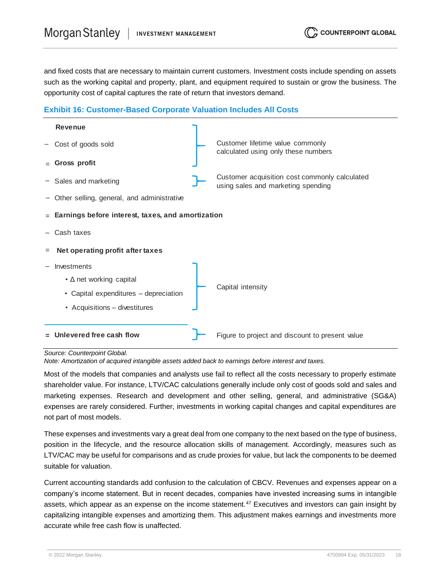and fixed costs that are necessary to maintain current customers. Investment costs include spending on assets such as the working capital and property, plant, and equipment required to sustain or grow the business. The opportunity cost of capital captures the rate of return that investors demand.

## **Exhibit 16: Customer-Based Corporate Valuation Includes All Costs**



#### *Source: Counterpoint Global.*

*Note: Amortization of acquired intangible assets added back to earnings before interest and taxes.*

Most of the models that companies and analysts use fail to reflect all the costs necessary to properly estimate shareholder value. For instance, LTV/CAC calculations generally include only cost of goods sold and sales and marketing expenses. Research and development and other selling, general, and administrative (SG&A) expenses are rarely considered. Further, investments in working capital changes and capital expenditures are not part of most models.

These expenses and investments vary a great deal from one company to the next based on the type of business, position in the lifecycle, and the resource allocation skills of management. Accordingly, measures such as LTV/CAC may be useful for comparisons and as crude proxies for value, but lack the components to be deemed suitable for valuation.

Current accounting standards add confusion to the calculation of CBCV. Revenues and expenses appear on a company's income statement. But in recent decades, companies have invested increasing sums in intangible assets, which appear as an expense on the income statement.<sup>47</sup> Executives and investors can gain insight by capitalizing intangible expenses and amortizing them. This adjustment makes earnings and investments more accurate while free cash flow is unaffected.

**COUNTERPOINT GLOBAL**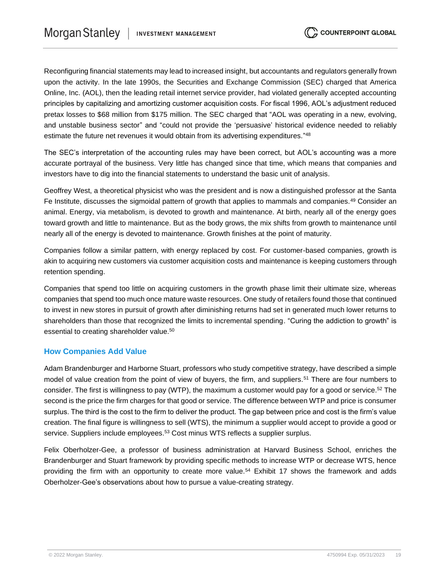Reconfiguring financial statements may lead to increased insight, but accountants and regulators generally frown upon the activity. In the late 1990s, the Securities and Exchange Commission (SEC) charged that America Online, Inc. (AOL), then the leading retail internet service provider, had violated generally accepted accounting principles by capitalizing and amortizing customer acquisition costs. For fiscal 1996, AOL's adjustment reduced pretax losses to \$68 million from \$175 million. The SEC charged that "AOL was operating in a new, evolving, and unstable business sector" and "could not provide the 'persuasive' historical evidence needed to reliably estimate the future net revenues it would obtain from its advertising expenditures."<sup>48</sup>

The SEC's interpretation of the accounting rules may have been correct, but AOL's accounting was a more accurate portrayal of the business. Very little has changed since that time, which means that companies and investors have to dig into the financial statements to understand the basic unit of analysis.

Geoffrey West, a theoretical physicist who was the president and is now a distinguished professor at the Santa Fe Institute, discusses the sigmoidal pattern of growth that applies to mammals and companies.<sup>49</sup> Consider an animal. Energy, via metabolism, is devoted to growth and maintenance. At birth, nearly all of the energy goes toward growth and little to maintenance. But as the body grows, the mix shifts from growth to maintenance until nearly all of the energy is devoted to maintenance. Growth finishes at the point of maturity.

Companies follow a similar pattern, with energy replaced by cost. For customer-based companies, growth is akin to acquiring new customers via customer acquisition costs and maintenance is keeping customers through retention spending.

Companies that spend too little on acquiring customers in the growth phase limit their ultimate size, whereas companies that spend too much once mature waste resources. One study of retailers found those that continued to invest in new stores in pursuit of growth after diminishing returns had set in generated much lower returns to shareholders than those that recognized the limits to incremental spending. "Curing the addiction to growth" is essential to creating shareholder value.<sup>50</sup>

## **How Companies Add Value**

Adam Brandenburger and Harborne Stuart, professors who study competitive strategy, have described a simple model of value creation from the point of view of buyers, the firm, and suppliers.<sup>51</sup> There are four numbers to consider. The first is willingness to pay (WTP), the maximum a customer would pay for a good or service.<sup>52</sup> The second is the price the firm charges for that good or service. The difference between WTP and price is consumer surplus. The third is the cost to the firm to deliver the product. The gap between price and cost is the firm's value creation. The final figure is willingness to sell (WTS), the minimum a supplier would accept to provide a good or service. Suppliers include employees.<sup>53</sup> Cost minus WTS reflects a supplier surplus.

Felix Oberholzer-Gee, a professor of business administration at Harvard Business School, enriches the Brandenburger and Stuart framework by providing specific methods to increase WTP or decrease WTS, hence providing the firm with an opportunity to create more value.<sup>54</sup> Exhibit 17 shows the framework and adds Oberholzer-Gee's observations about how to pursue a value-creating strategy.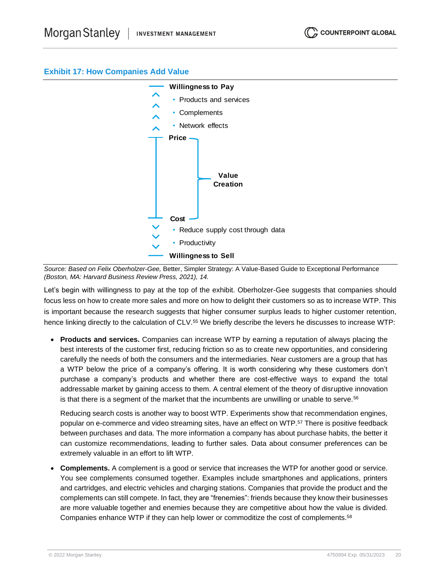



*Source: Based on Felix Oberholzer-Gee,* Better, Simpler Strategy: A Value-Based Guide to Exceptional Performance *(Boston, MA: Harvard Business Review Press, 2021), 14.*

Let's begin with willingness to pay at the top of the exhibit. Oberholzer-Gee suggests that companies should focus less on how to create more sales and more on how to delight their customers so as to increase WTP. This is important because the research suggests that higher consumer surplus leads to higher customer retention, hence linking directly to the calculation of CLV.<sup>55</sup> We briefly describe the levers he discusses to increase WTP:

• **Products and services.** Companies can increase WTP by earning a reputation of always placing the best interests of the customer first, reducing friction so as to create new opportunities, and considering carefully the needs of both the consumers and the intermediaries. Near customers are a group that has a WTP below the price of a company's offering. It is worth considering why these customers don't purchase a company's products and whether there are cost-effective ways to expand the total addressable market by gaining access to them. A central element of the theory of disruptive innovation is that there is a segment of the market that the incumbents are unwilling or unable to serve.<sup>56</sup>

Reducing search costs is another way to boost WTP. Experiments show that recommendation engines, popular on e-commerce and video streaming sites, have an effect on WTP.<sup>57</sup> There is positive feedback between purchases and data. The more information a company has about purchase habits, the better it can customize recommendations, leading to further sales. Data about consumer preferences can be extremely valuable in an effort to lift WTP.

• **Complements.** A complement is a good or service that increases the WTP for another good or service. You see complements consumed together. Examples include smartphones and applications, printers and cartridges, and electric vehicles and charging stations. Companies that provide the product and the complements can still compete. In fact, they are "frenemies": friends because they know their businesses are more valuable together and enemies because they are competitive about how the value is divided. Companies enhance WTP if they can help lower or commoditize the cost of complements.<sup>58</sup>

**COUNTERPOINT GLOBAL**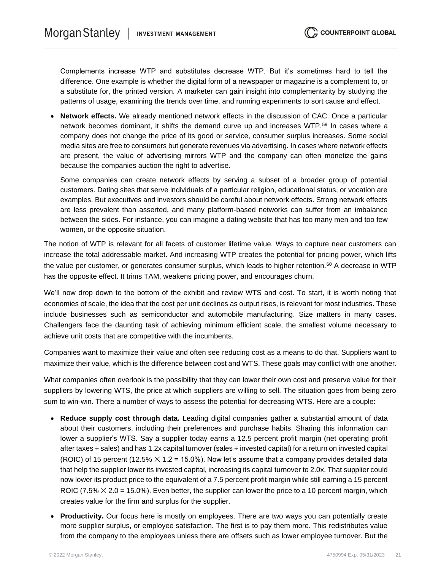Complements increase WTP and substitutes decrease WTP. But it's sometimes hard to tell the difference. One example is whether the digital form of a newspaper or magazine is a complement to, or a substitute for, the printed version. A marketer can gain insight into complementarity by studying the patterns of usage, examining the trends over time, and running experiments to sort cause and effect.

• **Network effects.** We already mentioned network effects in the discussion of CAC. Once a particular network becomes dominant, it shifts the demand curve up and increases WTP.<sup>59</sup> In cases where a company does not change the price of its good or service, consumer surplus increases. Some social media sites are free to consumers but generate revenues via advertising. In cases where network effects are present, the value of advertising mirrors WTP and the company can often monetize the gains because the companies auction the right to advertise.

Some companies can create network effects by serving a subset of a broader group of potential customers. Dating sites that serve individuals of a particular religion, educational status, or vocation are examples. But executives and investors should be careful about network effects. Strong network effects are less prevalent than asserted, and many platform-based networks can suffer from an imbalance between the sides. For instance, you can imagine a dating website that has too many men and too few women, or the opposite situation.

The notion of WTP is relevant for all facets of customer lifetime value. Ways to capture near customers can increase the total addressable market. And increasing WTP creates the potential for pricing power, which lifts the value per customer, or generates consumer surplus, which leads to higher retention.<sup>60</sup> A decrease in WTP has the opposite effect. It trims TAM, weakens pricing power, and encourages churn.

We'll now drop down to the bottom of the exhibit and review WTS and cost. To start, it is worth noting that economies of scale, the idea that the cost per unit declines as output rises, is relevant for most industries. These include businesses such as semiconductor and automobile manufacturing. Size matters in many cases. Challengers face the daunting task of achieving minimum efficient scale, the smallest volume necessary to achieve unit costs that are competitive with the incumbents.

Companies want to maximize their value and often see reducing cost as a means to do that. Suppliers want to maximize their value, which is the difference between cost and WTS. These goals may conflict with one another.

What companies often overlook is the possibility that they can lower their own cost and preserve value for their suppliers by lowering WTS, the price at which suppliers are willing to sell. The situation goes from being zero sum to win-win. There a number of ways to assess the potential for decreasing WTS. Here are a couple:

- **Reduce supply cost through data.** Leading digital companies gather a substantial amount of data about their customers, including their preferences and purchase habits. Sharing this information can lower a supplier's WTS. Say a supplier today earns a 12.5 percent profit margin (net operating profit after taxes ÷ sales) and has 1.2x capital turnover (sales ÷ invested capital) for a return on invested capital (ROIC) of 15 percent (12.5%  $\times$  1.2 = 15.0%). Now let's assume that a company provides detailed data that help the supplier lower its invested capital, increasing its capital turnover to 2.0x. That supplier could now lower its product price to the equivalent of a 7.5 percent profit margin while still earning a 15 percent ROIC (7.5%  $\times$  2.0 = 15.0%). Even better, the supplier can lower the price to a 10 percent margin, which creates value for the firm and surplus for the supplier.
- **Productivity.** Our focus here is mostly on employees. There are two ways you can potentially create more supplier surplus, or employee satisfaction. The first is to pay them more. This redistributes value from the company to the employees unless there are offsets such as lower employee turnover. But the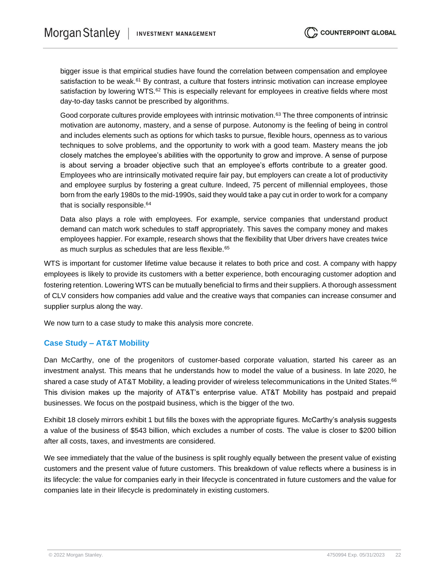bigger issue is that empirical studies have found the correlation between compensation and employee satisfaction to be weak.<sup>61</sup> By contrast, a culture that fosters intrinsic motivation can increase employee satisfaction by lowering WTS.<sup>62</sup> This is especially relevant for employees in creative fields where most day-to-day tasks cannot be prescribed by algorithms.

Good corporate cultures provide employees with intrinsic motivation.<sup>63</sup> The three components of intrinsic motivation are autonomy, mastery, and a sense of purpose. Autonomy is the feeling of being in control and includes elements such as options for which tasks to pursue, flexible hours, openness as to various techniques to solve problems, and the opportunity to work with a good team. Mastery means the job closely matches the employee's abilities with the opportunity to grow and improve. A sense of purpose is about serving a broader objective such that an employee's efforts contribute to a greater good. Employees who are intrinsically motivated require fair pay, but employers can create a lot of productivity and employee surplus by fostering a great culture. Indeed, 75 percent of millennial employees, those born from the early 1980s to the mid-1990s, said they would take a pay cut in order to work for a company that is socially responsible.<sup>64</sup>

Data also plays a role with employees. For example, service companies that understand product demand can match work schedules to staff appropriately. This saves the company money and makes employees happier. For example, research shows that the flexibility that Uber drivers have creates twice as much surplus as schedules that are less flexible.<sup>65</sup>

WTS is important for customer lifetime value because it relates to both price and cost. A company with happy employees is likely to provide its customers with a better experience, both encouraging customer adoption and fostering retention. Lowering WTS can be mutually beneficial to firms and their suppliers. A thorough assessment of CLV considers how companies add value and the creative ways that companies can increase consumer and supplier surplus along the way.

We now turn to a case study to make this analysis more concrete.

## **Case Study – AT&T Mobility**

Dan McCarthy, one of the progenitors of customer-based corporate valuation, started his career as an investment analyst. This means that he understands how to model the value of a business. In late 2020, he shared a case study of AT&T Mobility, a leading provider of wireless telecommunications in the United States.<sup>66</sup> This division makes up the majority of AT&T's enterprise value. AT&T Mobility has postpaid and prepaid businesses. We focus on the postpaid business, which is the bigger of the two.

Exhibit 18 closely mirrors exhibit 1 but fills the boxes with the appropriate figures. McCarthy's analysis suggests a value of the business of \$543 billion, which excludes a number of costs. The value is closer to \$200 billion after all costs, taxes, and investments are considered.

We see immediately that the value of the business is split roughly equally between the present value of existing customers and the present value of future customers. This breakdown of value reflects where a business is in its lifecycle: the value for companies early in their lifecycle is concentrated in future customers and the value for companies late in their lifecycle is predominately in existing customers.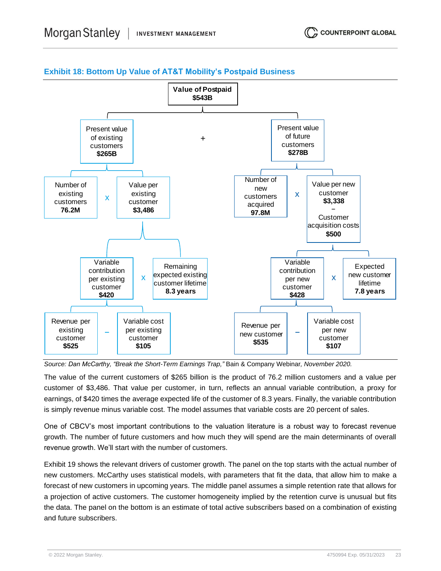

# **Exhibit 18: Bottom Up Value of AT&T Mobility's Postpaid Business**

*Source: Dan McCarthy, "Break the Short-Term Earnings Trap,"* Bain & Company Webinar*, November 2020.* 

The value of the current customers of \$265 billion is the product of 76.2 million customers and a value per customer of \$3,486. That value per customer, in turn, reflects an annual variable contribution, a proxy for earnings, of \$420 times the average expected life of the customer of 8.3 years. Finally, the variable contribution is simply revenue minus variable cost. The model assumes that variable costs are 20 percent of sales.

One of CBCV's most important contributions to the valuation literature is a robust way to forecast revenue growth. The number of future customers and how much they will spend are the main determinants of overall revenue growth. We'll start with the number of customers.

Exhibit 19 shows the relevant drivers of customer growth. The panel on the top starts with the actual number of new customers. McCarthy uses statistical models, with parameters that fit the data, that allow him to make a forecast of new customers in upcoming years. The middle panel assumes a simple retention rate that allows for a projection of active customers. The customer homogeneity implied by the retention curve is unusual but fits the data. The panel on the bottom is an estimate of total active subscribers based on a combination of existing and future subscribers.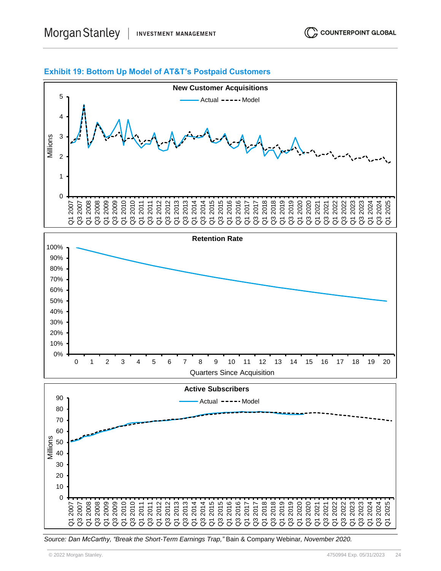## **Exhibit 19: Bottom Up Model of AT&T's Postpaid Customers**



*Source: Dan McCarthy, "Break the Short-Term Earnings Trap,"* Bain & Company Webinar*, November 2020.*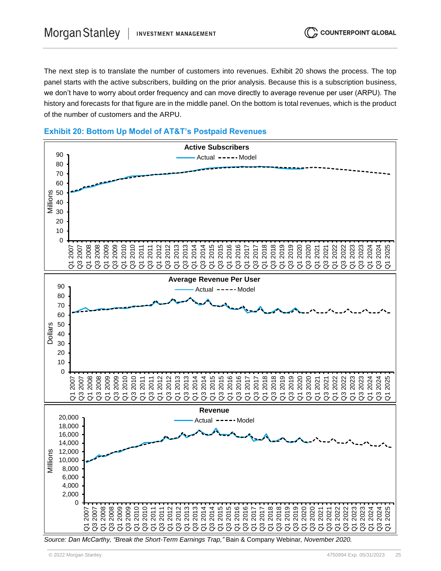The next step is to translate the number of customers into revenues. Exhibit 20 shows the process. The top panel starts with the active subscribers, building on the prior analysis. Because this is a subscription business, we don't have to worry about order frequency and can move directly to average revenue per user (ARPU). The history and forecasts for that figure are in the middle panel. On the bottom is total revenues, which is the product of the number of customers and the ARPU.





*Source: Dan McCarthy, "Break the Short-Term Earnings Trap,"* Bain & Company Webinar*, November 2020.*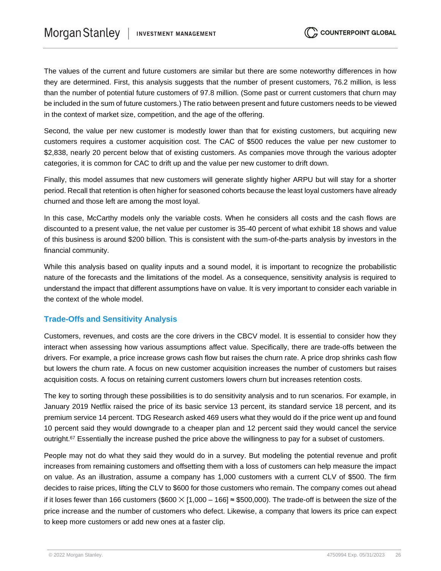The values of the current and future customers are similar but there are some noteworthy differences in how they are determined. First, this analysis suggests that the number of present customers, 76.2 million, is less than the number of potential future customers of 97.8 million. (Some past or current customers that churn may be included in the sum of future customers.) The ratio between present and future customers needs to be viewed in the context of market size, competition, and the age of the offering.

Second, the value per new customer is modestly lower than that for existing customers, but acquiring new customers requires a customer acquisition cost. The CAC of \$500 reduces the value per new customer to \$2,838, nearly 20 percent below that of existing customers. As companies move through the various adopter categories, it is common for CAC to drift up and the value per new customer to drift down.

Finally, this model assumes that new customers will generate slightly higher ARPU but will stay for a shorter period. Recall that retention is often higher for seasoned cohorts because the least loyal customers have already churned and those left are among the most loyal.

In this case, McCarthy models only the variable costs. When he considers all costs and the cash flows are discounted to a present value, the net value per customer is 35-40 percent of what exhibit 18 shows and value of this business is around \$200 billion. This is consistent with the sum-of-the-parts analysis by investors in the financial community.

While this analysis based on quality inputs and a sound model, it is important to recognize the probabilistic nature of the forecasts and the limitations of the model. As a consequence, sensitivity analysis is required to understand the impact that different assumptions have on value. It is very important to consider each variable in the context of the whole model.

## **Trade-Offs and Sensitivity Analysis**

Customers, revenues, and costs are the core drivers in the CBCV model. It is essential to consider how they interact when assessing how various assumptions affect value. Specifically, there are trade-offs between the drivers. For example, a price increase grows cash flow but raises the churn rate. A price drop shrinks cash flow but lowers the churn rate. A focus on new customer acquisition increases the number of customers but raises acquisition costs. A focus on retaining current customers lowers churn but increases retention costs.

The key to sorting through these possibilities is to do sensitivity analysis and to run scenarios. For example, in January 2019 Netflix raised the price of its basic service 13 percent, its standard service 18 percent, and its premium service 14 percent. TDG Research asked 469 users what they would do if the price went up and found 10 percent said they would downgrade to a cheaper plan and 12 percent said they would cancel the service outright.<sup>67</sup> Essentially the increase pushed the price above the willingness to pay for a subset of customers.

People may not do what they said they would do in a survey. But modeling the potential revenue and profit increases from remaining customers and offsetting them with a loss of customers can help measure the impact on value. As an illustration, assume a company has 1,000 customers with a current CLV of \$500. The firm decides to raise prices, lifting the CLV to \$600 for those customers who remain. The company comes out ahead if it loses fewer than 166 customers (\$600  $\times$  [1,000 – 166]  $\approx$  \$500,000). The trade-off is between the size of the price increase and the number of customers who defect. Likewise, a company that lowers its price can expect to keep more customers or add new ones at a faster clip.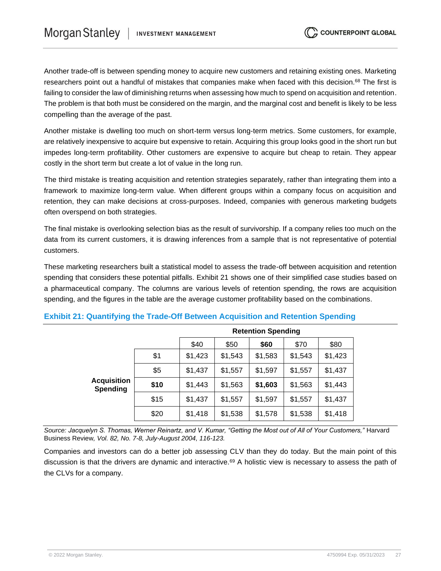Another trade-off is between spending money to acquire new customers and retaining existing ones. Marketing researchers point out a handful of mistakes that companies make when faced with this decision.<sup>68</sup> The first is failing to consider the law of diminishing returns when assessing how much to spend on acquisition and retention. The problem is that both must be considered on the margin, and the marginal cost and benefit is likely to be less compelling than the average of the past.

Another mistake is dwelling too much on short-term versus long-term metrics. Some customers, for example, are relatively inexpensive to acquire but expensive to retain. Acquiring this group looks good in the short run but impedes long-term profitability. Other customers are expensive to acquire but cheap to retain. They appear costly in the short term but create a lot of value in the long run.

The third mistake is treating acquisition and retention strategies separately, rather than integrating them into a framework to maximize long-term value. When different groups within a company focus on acquisition and retention, they can make decisions at cross-purposes. Indeed, companies with generous marketing budgets often overspend on both strategies.

The final mistake is overlooking selection bias as the result of survivorship. If a company relies too much on the data from its current customers, it is drawing inferences from a sample that is not representative of potential customers.

These marketing researchers built a statistical model to assess the trade-off between acquisition and retention spending that considers these potential pitfalls. Exhibit 21 shows one of their simplified case studies based on a pharmaceutical company. The columns are various levels of retention spending, the rows are acquisition spending, and the figures in the table are the average customer profitability based on the combinations.

|                                       |      | <b>Retention Spending</b> |         |         |         |         |
|---------------------------------------|------|---------------------------|---------|---------|---------|---------|
|                                       |      | \$40                      | \$50    | \$60    | \$70    | \$80    |
|                                       | \$1  | \$1,423                   | \$1,543 | \$1,583 | \$1,543 | \$1,423 |
|                                       | \$5  | \$1,437                   | \$1,557 | \$1,597 | \$1,557 | \$1,437 |
| <b>Acquisition</b><br><b>Spending</b> | \$10 | \$1,443                   | \$1,563 | \$1,603 | \$1,563 | \$1,443 |
|                                       | \$15 | \$1,437                   | \$1,557 | \$1,597 | \$1,557 | \$1,437 |
|                                       | \$20 | \$1,418                   | \$1,538 | \$1,578 | \$1,538 | \$1,418 |

## **Exhibit 21: Quantifying the Trade-Off Between Acquisition and Retention Spending**

*Source: Jacquelyn S. Thomas, Werner Reinartz, and V. Kumar, "Getting the Most out of All of Your Customers,"* Harvard Business Review*, Vol. 82, No. 7-8, July-August 2004, 116-123.* 

Companies and investors can do a better job assessing CLV than they do today. But the main point of this discussion is that the drivers are dynamic and interactive.<sup>69</sup> A holistic view is necessary to assess the path of the CLVs for a company.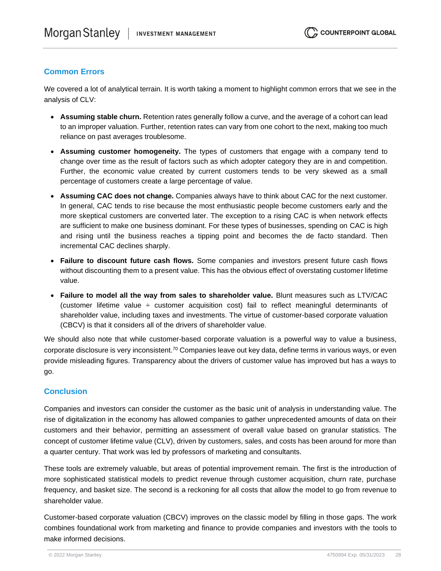## **Common Errors**

We covered a lot of analytical terrain. It is worth taking a moment to highlight common errors that we see in the analysis of CLV:

- **Assuming stable churn.** Retention rates generally follow a curve, and the average of a cohort can lead to an improper valuation. Further, retention rates can vary from one cohort to the next, making too much reliance on past averages troublesome.
- **Assuming customer homogeneity.** The types of customers that engage with a company tend to change over time as the result of factors such as which adopter category they are in and competition. Further, the economic value created by current customers tends to be very skewed as a small percentage of customers create a large percentage of value.
- **Assuming CAC does not change.** Companies always have to think about CAC for the next customer. In general, CAC tends to rise because the most enthusiastic people become customers early and the more skeptical customers are converted later. The exception to a rising CAC is when network effects are sufficient to make one business dominant. For these types of businesses, spending on CAC is high and rising until the business reaches a tipping point and becomes the de facto standard. Then incremental CAC declines sharply.
- **Failure to discount future cash flows.** Some companies and investors present future cash flows without discounting them to a present value. This has the obvious effect of overstating customer lifetime value.
- **Failure to model all the way from sales to shareholder value.** Blunt measures such as LTV/CAC (customer lifetime value ÷ customer acquisition cost) fail to reflect meaningful determinants of shareholder value, including taxes and investments. The virtue of customer-based corporate valuation (CBCV) is that it considers all of the drivers of shareholder value.

We should also note that while customer-based corporate valuation is a powerful way to value a business, corporate disclosure is very inconsistent.<sup>70</sup> Companies leave out key data, define terms in various ways, or even provide misleading figures. Transparency about the drivers of customer value has improved but has a ways to go.

## **Conclusion**

Companies and investors can consider the customer as the basic unit of analysis in understanding value. The rise of digitalization in the economy has allowed companies to gather unprecedented amounts of data on their customers and their behavior, permitting an assessment of overall value based on granular statistics. The concept of customer lifetime value (CLV), driven by customers, sales, and costs has been around for more than a quarter century. That work was led by professors of marketing and consultants.

These tools are extremely valuable, but areas of potential improvement remain. The first is the introduction of more sophisticated statistical models to predict revenue through customer acquisition, churn rate, purchase frequency, and basket size. The second is a reckoning for all costs that allow the model to go from revenue to shareholder value.

Customer-based corporate valuation (CBCV) improves on the classic model by filling in those gaps. The work combines foundational work from marketing and finance to provide companies and investors with the tools to make informed decisions.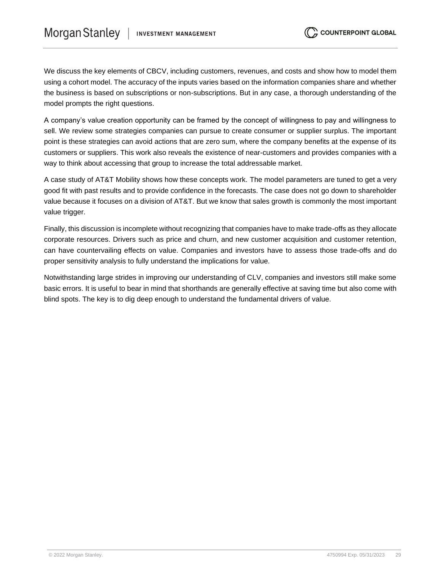We discuss the key elements of CBCV, including customers, revenues, and costs and show how to model them using a cohort model. The accuracy of the inputs varies based on the information companies share and whether the business is based on subscriptions or non-subscriptions. But in any case, a thorough understanding of the model prompts the right questions.

A company's value creation opportunity can be framed by the concept of willingness to pay and willingness to sell. We review some strategies companies can pursue to create consumer or supplier surplus. The important point is these strategies can avoid actions that are zero sum, where the company benefits at the expense of its customers or suppliers. This work also reveals the existence of near-customers and provides companies with a way to think about accessing that group to increase the total addressable market.

A case study of AT&T Mobility shows how these concepts work. The model parameters are tuned to get a very good fit with past results and to provide confidence in the forecasts. The case does not go down to shareholder value because it focuses on a division of AT&T. But we know that sales growth is commonly the most important value trigger.

Finally, this discussion is incomplete without recognizing that companies have to make trade-offs as they allocate corporate resources. Drivers such as price and churn, and new customer acquisition and customer retention, can have countervailing effects on value. Companies and investors have to assess those trade-offs and do proper sensitivity analysis to fully understand the implications for value.

Notwithstanding large strides in improving our understanding of CLV, companies and investors still make some basic errors. It is useful to bear in mind that shorthands are generally effective at saving time but also come with blind spots. The key is to dig deep enough to understand the fundamental drivers of value.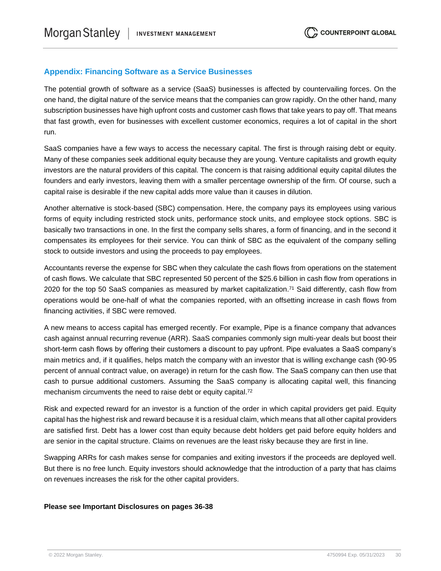## **Appendix: Financing Software as a Service Businesses**

The potential growth of software as a service (SaaS) businesses is affected by countervailing forces. On the one hand, the digital nature of the service means that the companies can grow rapidly. On the other hand, many subscription businesses have high upfront costs and customer cash flows that take years to pay off. That means that fast growth, even for businesses with excellent customer economics, requires a lot of capital in the short run.

SaaS companies have a few ways to access the necessary capital. The first is through raising debt or equity. Many of these companies seek additional equity because they are young. Venture capitalists and growth equity investors are the natural providers of this capital. The concern is that raising additional equity capital dilutes the founders and early investors, leaving them with a smaller percentage ownership of the firm. Of course, such a capital raise is desirable if the new capital adds more value than it causes in dilution.

Another alternative is stock-based (SBC) compensation. Here, the company pays its employees using various forms of equity including restricted stock units, performance stock units, and employee stock options. SBC is basically two transactions in one. In the first the company sells shares, a form of financing, and in the second it compensates its employees for their service. You can think of SBC as the equivalent of the company selling stock to outside investors and using the proceeds to pay employees.

Accountants reverse the expense for SBC when they calculate the cash flows from operations on the statement of cash flows. We calculate that SBC represented 50 percent of the \$25.6 billion in cash flow from operations in 2020 for the top 50 SaaS companies as measured by market capitalization.<sup>71</sup> Said differently, cash flow from operations would be one-half of what the companies reported, with an offsetting increase in cash flows from financing activities, if SBC were removed.

A new means to access capital has emerged recently. For example, Pipe is a finance company that advances cash against annual recurring revenue (ARR). SaaS companies commonly sign multi-year deals but boost their short-term cash flows by offering their customers a discount to pay upfront. Pipe evaluates a SaaS company's main metrics and, if it qualifies, helps match the company with an investor that is willing exchange cash (90-95 percent of annual contract value, on average) in return for the cash flow. The SaaS company can then use that cash to pursue additional customers. Assuming the SaaS company is allocating capital well, this financing mechanism circumvents the need to raise debt or equity capital.<sup>72</sup>

Risk and expected reward for an investor is a function of the order in which capital providers get paid. Equity capital has the highest risk and reward because it is a residual claim, which means that all other capital providers are satisfied first. Debt has a lower cost than equity because debt holders get paid before equity holders and are senior in the capital structure. Claims on revenues are the least risky because they are first in line.

Swapping ARRs for cash makes sense for companies and exiting investors if the proceeds are deployed well. But there is no free lunch. Equity investors should acknowledge that the introduction of a party that has claims on revenues increases the risk for the other capital providers.

#### **Please see Important Disclosures on pages 36-38**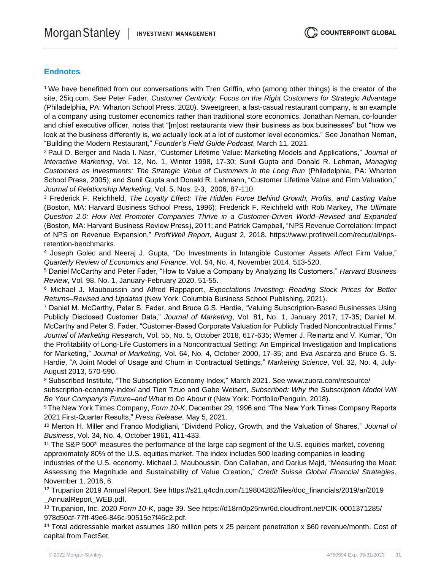## **Endnotes**

<sup>1</sup>We have benefitted from our conversations with Tren Griffin, who (among other things) is the creator of the site, 25iq.com. See Peter Fader, *Customer Centricity: Focus on the Right Customers for Strategic Advantage* (Philadelphia, PA: Wharton School Press, 2020). Sweetgreen, a fast-casual restaurant company, is an example of a company using customer economics rather than traditional store economics. Jonathan Neman, co-founder and chief executive officer, notes that "[m]ost restaurants view their business as box businesses" but "how we look at the business differently is, we actually look at a lot of customer level economics." See Jonathan Neman, "Building the Modern Restaurant," *Founder's Field Guide Podcast*, March 11, 2021.

<sup>2</sup> Paul D. Berger and Nada I. Nasr, "Customer Lifetime Value: Marketing Models and Applications," *Journal of Interactive Marketing*, Vol. 12, No. 1, Winter 1998, 17-30; Sunil Gupta and Donald R. Lehman, *Managing Customers as Investments: The Strategic Value of Customers in the Long Run* (Philadelphia, PA: Wharton School Press, 2005); and Sunil Gupta and Donald R. Lehmann, "Customer Lifetime Value and Firm Valuation," *Journal of Relationship Marketing*, Vol. 5, Nos. 2-3, 2006, 87-110.

<sup>3</sup> Frederick F. Reichheld, *The Loyalty Effect: The Hidden Force Behind Growth, Profits, and Lasting Value* (Boston, MA: Harvard Business School Press, 1996); Frederick F. Reichheld with Rob Markey, *The Ultimate Question 2.0: How Net Promoter Companies Thrive in a Customer-Driven World–Revised and Expanded* (Boston, MA: Harvard Business Review Press), 2011; and Patrick Campbell, "NPS Revenue Correlation: Impact of NPS on Revenue Expansion," *ProfitWell Report*, August 2, 2018. https://www.profitwell.com/recur/all/npsretention-benchmarks.

<sup>4</sup> Joseph Golec and Neeraj J. Gupta, "Do Investments in Intangible Customer Assets Affect Firm Value," *Quarterly Review of Economics and Finance*, Vol. 54, No. 4, November 2014, 513-520.

<sup>5</sup> Daniel McCarthy and Peter Fader, "How to Value a Company by Analyzing Its Customers," *Harvard Business Review*, Vol. 98, No. 1, January-February 2020, 51-55.

<sup>6</sup> Michael J. Mauboussin and Alfred Rappaport, *Expectations Investing: Reading Stock Prices for Better Returns–Revised and Updated* (New York: Columbia Business School Publishing, 2021).

<sup>7</sup> Daniel M. McCarthy, Peter S. Fader, and Bruce G.S. Hardie, "Valuing Subscription-Based Businesses Using Publicly Disclosed Customer Data," *Journal of Marketing*, Vol. 81, No. 1, January 2017, 17-35; Daniel M. McCarthy and Peter S. Fader, "Customer-Based Corporate Valuation for Publicly Traded Noncontractual Firms," *Journal of Marketing Research*, Vol. 55, No. 5, October 2018, 617-635; Werner J. Reinartz and V. Kumar, "On the Profitability of Long-Life Customers in a Noncontractual Setting: An Empirical Investigation and Implications for Marketing," *Journal of Marketing*, Vol. 64, No. 4, October 2000, 17-35; and Eva Ascarza and Bruce G. S. Hardie, "A Joint Model of Usage and Churn in Contractual Settings," *Marketing Science*, Vol. 32, No. 4, July-August 2013, 570-590.

<sup>8</sup> Subscribed Institute, "The Subscription Economy Index," March 2021. See www.zuora.com/resource/ subscription-economy-index/ and Tien Tzuo and Gabe Weisert, *Subscribed: Why the Subscription Model Will Be Your Company's Future–and What to Do About It* (New York: Portfolio/Penguin, 2018).

<sup>9</sup>The New York Times Company, *Form 10-K*, December 29, 1996 and "The New York Times Company Reports 2021 First-Quarter Results," *Press Release*, May 5, 2021.

<sup>10</sup> Merton H. Miller and Franco Modigliani, "Dividend Policy, Growth, and the Valuation of Shares," *Journal of Business*, Vol. 34, No. 4, October 1961, 411-433.

<sup>11</sup> The S&P 500<sup>®</sup> measures the performance of the large cap segment of the U.S. equities market, covering approximately 80% of the U.S. equities market. The index includes 500 leading companies in leading industries of the U.S. economy. Michael J. Mauboussin, Dan Callahan, and Darius Majd, "Measuring the Moat: Assessing the Magnitude and Sustainability of Value Creation," *Credit Suisse Global Financial Strategies*, November 1, 2016, 6.

<sup>12</sup> Trupanion 2019 Annual Report. See https://s21.q4cdn.com/119804282/files/doc\_financials/2019/ar/2019 \_AnnualReport\_WEB.pdf.

<sup>13</sup> Trupanion, Inc. 2020 *Form 10-K*, page 39. See https://d18rn0p25nwr6d.cloudfront.net/CIK-0001371285/ 978d50af-77ff-49e6-846c-90515e7f46c2.pdf.

<sup>14</sup> Total addressable market assumes 180 million pets x 25 percent penetration x \$60 revenue/month. Cost of capital from FactSet.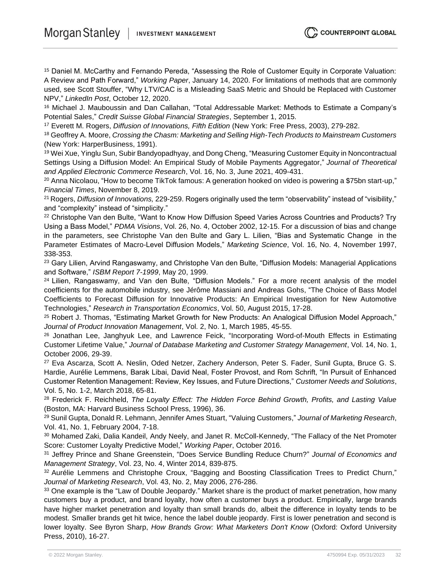<sup>15</sup> Daniel M. McCarthy and Fernando Pereda, "Assessing the Role of Customer Equity in Corporate Valuation: A Review and Path Forward," *Working Paper*, January 14, 2020. For limitations of methods that are commonly used, see Scott Stouffer, "Why LTV/CAC is a Misleading SaaS Metric and Should be Replaced with Customer NPV," *LinkedIn Post*, October 12, 2020.

<sup>16</sup> Michael J. Mauboussin and Dan Callahan, "Total Addressable Market: Methods to Estimate a Company's Potential Sales," *Credit Suisse Global Financial Strategies*, September 1, 2015.

<sup>17</sup> Everett M. Rogers, *Diffusion of Innovations, Fifth Edition* (New York: Free Press, 2003), 279-282.

<sup>18</sup> Geoffrey A. Moore, *Crossing the Chasm: Marketing and Selling High-Tech Products to Mainstream Customers*  (New York: HarperBusiness, 1991).

<sup>19</sup> Wei Xue, Yinglu Sun, Subir Bandyopadhyay, and Dong Cheng, "Measuring Customer Equity in Noncontractual Settings Using a Diffusion Model: An Empirical Study of Mobile Payments Aggregator," *Journal of Theoretical and Applied Electronic Commerce Research*, Vol. 16, No. 3, June 2021, 409-431.

 $20$  Anna Nicolaou, "How to become TikTok famous: A generation hooked on video is powering a \$75bn start-up," *Financial Times*, November 8, 2019.

<sup>21</sup>Rogers, *Diffusion of Innovations,* 229-259. Rogers originally used the term "observability" instead of "visibility," and "complexity" instead of "simplicity."

<sup>22</sup> Christophe Van den Bulte, "Want to Know How Diffusion Speed Varies Across Countries and Products? Try Using a Bass Model," *PDMA Visions*, Vol. 26, No. 4, October 2002, 12-15. For a discussion of bias and change in the parameters, see Christophe Van den Bulte and Gary L. Lilien, "Bias and Systematic Change in the Parameter Estimates of Macro-Level Diffusion Models," *Marketing Science*, Vol. 16, No. 4, November 1997, 338-353.

<sup>23</sup> Gary Lilien, Arvind Rangaswamy, and Christophe Van den Bulte, "Diffusion Models: Managerial Applications and Software," *ISBM Report 7-1999*, May 20, 1999.

<sup>24</sup> Lilien, Rangaswamy, and Van den Bulte, "Diffusion Models." For a more recent analysis of the model coefficients for the automobile industry, see Jérôme Massiani and Andreas Gohs, "The Choice of Bass Model Coefficients to Forecast Diffusion for Innovative Products: An Empirical Investigation for New Automotive Technologies," *Research in Transportation Economics*, Vol. 50, August 2015, 17-28.

<sup>25</sup> Robert J. Thomas, "Estimating Market Growth for New Products: An Analogical Diffusion Model Approach," *Journal of Product Innovation Management*, Vol. 2, No. 1, March 1985, 45-55.

<sup>26</sup> Jonathan Lee, Janghyuk Lee, and Lawrence Feick, "Incorporating Word-of-Mouth Effects in Estimating Customer Lifetime Value," *Journal of Database Marketing and Customer Strategy Management*, Vol. 14, No. 1, October 2006, 29-39.

<sup>27</sup> Eva Ascarza, Scott A. Neslin, Oded Netzer, Zachery Anderson, Peter S. Fader, Sunil Gupta, Bruce G. S. Hardie, Aurélie Lemmens, Barak Libai, David Neal, Foster Provost, and Rom Schrift, "In Pursuit of Enhanced Customer Retention Management: Review, Key Issues, and Future Directions," *Customer Needs and Solutions*, Vol. 5, No. 1-2, March 2018, 65-81.

<sup>28</sup> Frederick F. Reichheld, *The Loyalty Effect: The Hidden Force Behind Growth, Profits, and Lasting Value* (Boston, MA: Harvard Business School Press, 1996), 36.

<sup>29</sup> Sunil Gupta, Donald R. Lehmann, Jennifer Ames Stuart, "Valuing Customers," *Journal of Marketing Research*, Vol. 41, No. 1, February 2004, 7-18.

<sup>30</sup> Mohamed Zaki, Dalia Kandeil, Andy Neely, and Janet R. McColl-Kennedy, "The Fallacy of the Net Promoter Score: Customer Loyalty Predictive Model," *Working Paper*, October 2016.

<sup>31</sup> Jeffrey Prince and Shane Greenstein, "Does Service Bundling Reduce Churn?" *Journal of Economics and Management Strategy*, Vol. 23, No. 4, Winter 2014, 839-875.

32 Aurélie Lemmens and Christophe Croux, "Bagging and Boosting Classification Trees to Predict Churn," *Journal of Marketing Research*, Vol. 43, No. 2, May 2006, 276-286.

<sup>33</sup> One example is the "Law of Double Jeopardy." Market share is the product of market penetration, how many customers buy a product, and brand loyalty, how often a customer buys a product. Empirically, large brands have higher market penetration and loyalty than small brands do, albeit the difference in loyalty tends to be modest. Smaller brands get hit twice, hence the label double jeopardy. First is lower penetration and second is lower loyalty. See Byron Sharp, *How Brands Grow: What Marketers Don't Know* (Oxford: Oxford University Press, 2010), 16-27.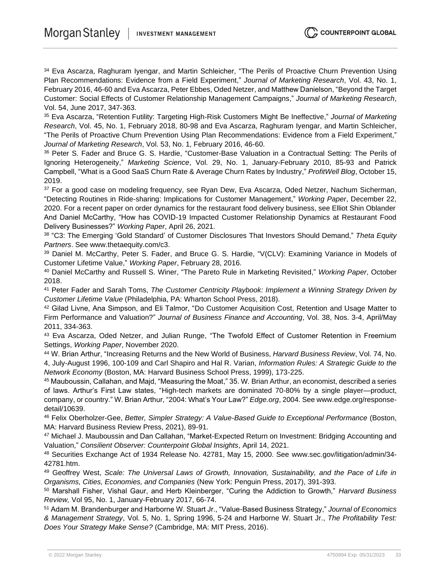34 Eva Ascarza, Raghuram Iyengar, and Martin Schleicher, "The Perils of Proactive Churn Prevention Using Plan Recommendations: Evidence from a Field Experiment," *Journal of Marketing Research*, Vol. 43, No. 1, February 2016, 46-60 and Eva Ascarza, Peter Ebbes, Oded Netzer, and Matthew Danielson, "Beyond the Target Customer: Social Effects of Customer Relationship Management Campaigns," *Journal of Marketing Research*, Vol. 54, June 2017, 347-363.

<sup>35</sup> Eva Ascarza, "Retention Futility: Targeting High-Risk Customers Might Be Ineffective," *Journal of Marketing Research*, Vol. 45, No. 1, February 2018, 80-98 and Eva Ascarza, Raghuram Iyengar, and Martin Schleicher, "The Perils of Proactive Churn Prevention Using Plan Recommendations: Evidence from a Field Experiment," *Journal of Marketing Research*, Vol. 53, No. 1, February 2016, 46-60.

36 Peter S. Fader and Bruce G. S. Hardie, "Customer-Base Valuation in a Contractual Setting: The Perils of Ignoring Heterogeneity," *Marketing Science*, Vol. 29, No. 1, January-February 2010, 85-93 and Patrick Campbell, "What is a Good SaaS Churn Rate & Average Churn Rates by Industry," *ProfitWell Blog*, October 15, 2019.

<sup>37</sup> For a good case on modeling frequency, see Ryan Dew, Eva Ascarza, Oded Netzer, Nachum Sicherman, "Detecting Routines in Ride-sharing: Implications for Customer Management," *Working Paper*, December 22, 2020. For a recent paper on order dynamics for the restaurant food delivery business, see Elliot Shin Oblander And Daniel McCarthy, "How has COVID-19 Impacted Customer Relationship Dynamics at Restaurant Food Delivery Businesses?" *Working Paper*, April 26, 2021.

38 "C3: The Emerging 'Gold Standard' of Customer Disclosures That Investors Should Demand," *Theta Equity Partners*. See www.thetaequity.com/c3.

39 Daniel M. McCarthy, Peter S. Fader, and Bruce G. S. Hardie, "V(CLV): Examining Variance in Models of Customer Lifetime Value," *Working Paper*, February 28, 2016.

<sup>40</sup> Daniel McCarthy and Russell S. Winer, "The Pareto Rule in Marketing Revisited," *Working Paper*, October 2018.

<sup>41</sup> Peter Fader and Sarah Toms, *The Customer Centricity Playbook: Implement a Winning Strategy Driven by Customer Lifetime Value* (Philadelphia, PA: Wharton School Press, 2018).

42 Gilad Livne, Ana Simpson, and Eli Talmor, "Do Customer Acquisition Cost, Retention and Usage Matter to Firm Performance and Valuation?" *Journal of Business Finance and Accounting*, Vol. 38, Nos. 3-4, April/May 2011, 334-363.

<sup>43</sup> Eva Ascarza, Oded Netzer, and Julian Runge, "The Twofold Effect of Customer Retention in Freemium Settings, *Working Paper*, November 2020.

<sup>44</sup> W. Brian Arthur, "Increasing Returns and the New World of Business, *Harvard Business Review*, Vol. 74, No. 4, July-August 1996, 100-109 and Carl Shapiro and Hal R. Varian, *Information Rules: A Strategic Guide to the Network Economy* (Boston, MA: Harvard Business School Press, 1999), 173-225.

<sup>45</sup> Mauboussin, Callahan, and Majd, "Measuring the Moat," 35. W. Brian Arthur, an economist, described a series of laws. Arthur's First Law states, "High-tech markets are dominated 70-80% by a single player—product, company, or country." W. Brian Arthur, "2004: What's Your Law?" *Edge.org*, 2004. See www.edge.org/responsedetail/10639.

<sup>46</sup> Felix Oberholzer-Gee, *Better, Simpler Strategy: A Value-Based Guide to Exceptional Performance* (Boston, MA: Harvard Business Review Press, 2021), 89-91.

<sup>47</sup> Michael J. Mauboussin and Dan Callahan, "Market-Expected Return on Investment: Bridging Accounting and Valuation," *Consilient Observer: Counterpoint Global Insights*, April 14, 2021.

<sup>48</sup> Securities Exchange Act of 1934 Release No. 42781, May 15, 2000. See www.sec.gov/litigation/admin/34- 42781.htm.

<sup>49</sup> Geoffrey West, *Scale: The Universal Laws of Growth, Innovation, Sustainability, and the Pace of Life in Organisms, Cities, Economies, and Companies* (New York: Penguin Press, 2017), 391-393.

<sup>50</sup> Marshall Fisher, Vishal Gaur, and Herb Kleinberger, "Curing the Addiction to Growth," *Harvard Business Review,* Vol 95, No. 1, January-February 2017, 66-74.

<sup>51</sup> Adam M. Brandenburger and Harborne W. Stuart Jr., "Value-Based Business Strategy," *Journal of Economics & Management Strategy*, Vol. 5, No. 1, Spring 1996, 5-24 and Harborne W. Stuart Jr., *The Profitability Test: Does Your Strategy Make Sense?* (Cambridge, MA: MIT Press, 2016).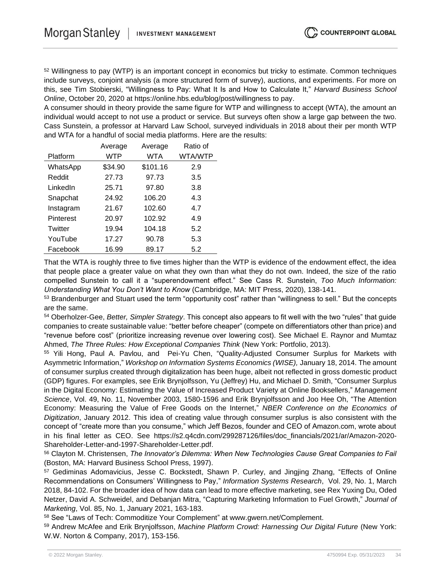<sup>52</sup> Willingness to pay (WTP) is an important concept in economics but tricky to estimate. Common techniques include surveys, conjoint analysis (a more structured form of survey), auctions, and experiments. For more on this, see Tim Stobierski, "Willingness to Pay: What It Is and How to Calculate It," *Harvard Business School Online*, October 20, 2020 at https://online.hbs.edu/blog/post/willingness to pay.

A consumer should in theory provide the same figure for WTP and willingness to accept (WTA), the amount an individual would accept to not use a product or service. But surveys often show a large gap between the two. Cass Sunstein, a professor at Harvard Law School, surveyed individuals in 2018 about their per month WTP and WTA for a handful of social media platforms. Here are the results:

|           | Average | Average  | Ratio of |
|-----------|---------|----------|----------|
| Platform  | WTP     | WTA      | WTA/WTP  |
| WhatsApp  | \$34.90 | \$101.16 | 2.9      |
| Reddit    | 27.73   | 97.73    | 3.5      |
| LinkedIn  | 25.71   | 97.80    | 3.8      |
| Snapchat  | 24.92   | 106.20   | 4.3      |
| Instagram | 21.67   | 102.60   | 4.7      |
| Pinterest | 20.97   | 102.92   | 4.9      |
| Twitter   | 19.94   | 104.18   | 5.2      |
| YouTube   | 17.27   | 90.78    | 5.3      |
| Facebook  | 16.99   | 89.17    | 5.2      |

That the WTA is roughly three to five times higher than the WTP is evidence of the endowment effect, the idea that people place a greater value on what they own than what they do not own. Indeed, the size of the ratio compelled Sunstein to call it a "superendowment effect." See Cass R. Sunstein, *Too Much Information: Understanding What You Don't Want to Know* (Cambridge, MA: MIT Press, 2020), 138-141.

<sup>53</sup> Brandenburger and Stuart used the term "opportunity cost" rather than "willingness to sell." But the concepts are the same.

<sup>54</sup> Oberholzer-Gee, *Better, Simpler Strategy*. This concept also appears to fit well with the two "rules" that guide companies to create sustainable value: "better before cheaper" (compete on differentiators other than price) and "revenue before cost" (prioritize increasing revenue over lowering cost). See Michael E. Raynor and Mumtaz Ahmed, *The Three Rules: How Exceptional Companies Think* (New York: Portfolio, 2013).

<sup>55</sup> Yili Hong, Paul A. Pavlou, and Pei-Yu Chen, "Quality-Adjusted Consumer Surplus for Markets with Asymmetric Information," *Workshop on Information Systems Economics (WISE),* January 18, 2014. The amount of consumer surplus created through digitalization has been huge, albeit not reflected in gross domestic product (GDP) figures. For examples, see Erik Brynjolfsson, Yu (Jeffrey) Hu, and Michael D. Smith, "Consumer Surplus in the Digital Economy: Estimating the Value of Increased Product Variety at Online Booksellers," *Management Science*, Vol. 49, No. 11, November 2003, 1580-1596 and Erik Brynjolfsson and Joo Hee Oh, "The Attention Economy: Measuring the Value of Free Goods on the Internet," *NBER Conference on the Economics of Digitization*, January 2012. This idea of creating value through consumer surplus is also consistent with the concept of "create more than you consume," which Jeff Bezos, founder and CEO of Amazon.com, wrote about in his final letter as CEO. See https://s2.q4cdn.com/299287126/files/doc\_financials/2021/ar/Amazon-2020- Shareholder-Letter-and-1997-Shareholder-Letter.pdf.

<sup>56</sup> Clayton M. Christensen, *The Innovator's Dilemma: When New Technologies Cause Great Companies to Fail* (Boston, MA: Harvard Business School Press, 1997).

<sup>57</sup> Gediminas Adomavicius, Jesse C. Bockstedt, Shawn P. Curley, and Jingjing Zhang, "Effects of Online Recommendations on Consumers' Willingness to Pay," *Information Systems Research*, Vol. 29, No. 1, March 2018, 84-102. For the broader idea of how data can lead to more effective marketing, see Rex Yuxing Du, Oded Netzer, David A. Schweidel, and Debanjan Mitra, "Capturing Marketing Information to Fuel Growth," *Journal of Marketing*, Vol. 85, No. 1, January 2021, 163-183.

<sup>58</sup> See "Laws of Tech: Commoditize Your Complement" at www.gwern.net/Complement.

<sup>59</sup> Andrew McAfee and Erik Brynjolfsson, *Machine Platform Crowd: Harnessing Our Digital Future* (New York: W.W. Norton & Company, 2017), 153-156.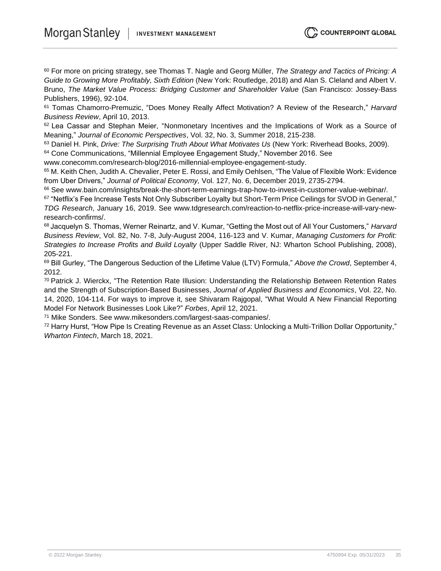<sup>60</sup> For more on pricing strategy, see Thomas T. Nagle and Georg Müller, *The Strategy and Tactics of Pricing: A Guide to Growing More Profitably, Sixth Edition* (New York: Routledge, 2018) and Alan S. Cleland and Albert V. Bruno, *The Market Value Process: Bridging Customer and Shareholder Value* (San Francisco: Jossey-Bass Publishers, 1996), 92-104.

<sup>61</sup> Tomas Chamorro-Premuzic, "Does Money Really Affect Motivation? A Review of the Research," *Harvard Business Review*, April 10, 2013.

<sup>62</sup> Lea Cassar and Stephan Meier, "Nonmonetary Incentives and the Implications of Work as a Source of Meaning," *Journal of Economic Perspectives*, Vol. 32, No. 3, Summer 2018, 215-238.

<sup>63</sup> Daniel H. Pink, *Drive: The Surprising Truth About What Motivates Us* (New York: Riverhead Books, 2009).

<sup>64</sup> Cone Communications, "Millennial Employee Engagement Study," November 2016. See

www.conecomm.com/research-blog/2016-millennial-employee-engagement-study.

<sup>65</sup> M. Keith Chen, Judith A. Chevalier, Peter E. Rossi, and Emily Oehlsen, "The Value of Flexible Work: Evidence from Uber Drivers," *Journal of Political Economy,* Vol. 127, No. 6, December 2019, 2735-2794.

<sup>66</sup> See www.bain.com/insights/break-the-short-term-earnings-trap-how-to-invest-in-customer-value-webinar/.

 $^{67}$  "Netflix's Fee Increase Tests Not Only Subscriber Loyalty but Short-Term Price Ceilings for SVOD in General," *TDG Research*, January 16, 2019. See www.tdgresearch.com/reaction-to-netflix-price-increase-will-vary-newresearch-confirms/.

<sup>68</sup> Jacquelyn S. Thomas, Werner Reinartz, and V. Kumar, "Getting the Most out of All Your Customers," *Harvard Business Review*, Vol. 82, No. 7-8, July-August 2004, 116-123 and V. Kumar, *Managing Customers for Profit: Strategies to Increase Profits and Build Loyalty* (Upper Saddle River, NJ: Wharton School Publishing, 2008), 205-221.

<sup>69</sup> Bill Gurley, "The Dangerous Seduction of the Lifetime Value (LTV) Formula," *Above the Crowd*, September 4, 2012.

<sup>70</sup> Patrick J. Wierckx, "The Retention Rate Illusion: Understanding the Relationship Between Retention Rates and the Strength of Subscription-Based Businesses, *Journal of Applied Business and Economics*, Vol. 22, No. 14, 2020, 104-114. For ways to improve it, see Shivaram Rajgopal, "What Would A New Financial Reporting Model For Network Businesses Look Like?" *Forbes*, April 12, 2021.

<sup>71</sup> Mike Sonders. See www.mikesonders.com/largest-saas-companies/.

<sup>72</sup> Harry Hurst, "How Pipe Is Creating Revenue as an Asset Class: Unlocking a Multi-Trillion Dollar Opportunity," *Wharton Fintech*, March 18, 2021.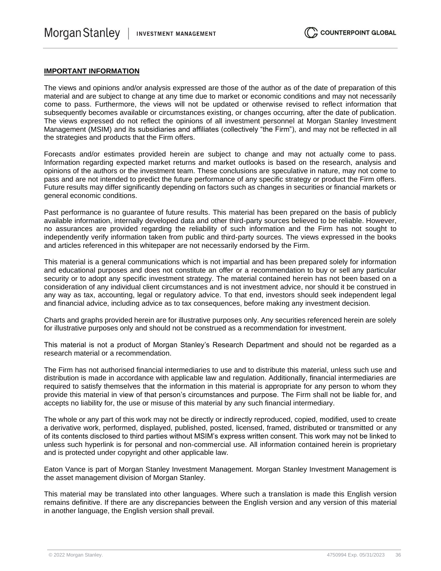#### **IMPORTANT INFORMATION**

The views and opinions and/or analysis expressed are those of the author as of the date of preparation of this material and are subject to change at any time due to market or economic conditions and may not necessarily come to pass. Furthermore, the views will not be updated or otherwise revised to reflect information that subsequently becomes available or circumstances existing, or changes occurring, after the date of publication. The views expressed do not reflect the opinions of all investment personnel at Morgan Stanley Investment Management (MSIM) and its subsidiaries and affiliates (collectively "the Firm"), and may not be reflected in all the strategies and products that the Firm offers.

Forecasts and/or estimates provided herein are subject to change and may not actually come to pass. Information regarding expected market returns and market outlooks is based on the research, analysis and opinions of the authors or the investment team. These conclusions are speculative in nature, may not come to pass and are not intended to predict the future performance of any specific strategy or product the Firm offers. Future results may differ significantly depending on factors such as changes in securities or financial markets or general economic conditions.

Past performance is no guarantee of future results. This material has been prepared on the basis of publicly available information, internally developed data and other third-party sources believed to be reliable. However, no assurances are provided regarding the reliability of such information and the Firm has not sought to independently verify information taken from public and third-party sources. The views expressed in the books and articles referenced in this whitepaper are not necessarily endorsed by the Firm.

This material is a general communications which is not impartial and has been prepared solely for information and educational purposes and does not constitute an offer or a recommendation to buy or sell any particular security or to adopt any specific investment strategy. The material contained herein has not been based on a consideration of any individual client circumstances and is not investment advice, nor should it be construed in any way as tax, accounting, legal or regulatory advice. To that end, investors should seek independent legal and financial advice, including advice as to tax consequences, before making any investment decision.

Charts and graphs provided herein are for illustrative purposes only. Any securities referenced herein are solely for illustrative purposes only and should not be construed as a recommendation for investment.

This material is not a product of Morgan Stanley's Research Department and should not be regarded as a research material or a recommendation.

The Firm has not authorised financial intermediaries to use and to distribute this material, unless such use and distribution is made in accordance with applicable law and regulation. Additionally, financial intermediaries are required to satisfy themselves that the information in this material is appropriate for any person to whom they provide this material in view of that person's circumstances and purpose. The Firm shall not be liable for, and accepts no liability for, the use or misuse of this material by any such financial intermediary.

The whole or any part of this work may not be directly or indirectly reproduced, copied, modified, used to create a derivative work, performed, displayed, published, posted, licensed, framed, distributed or transmitted or any of its contents disclosed to third parties without MSIM's express written consent. This work may not be linked to unless such hyperlink is for personal and non-commercial use. All information contained herein is proprietary and is protected under copyright and other applicable law.

Eaton Vance is part of Morgan Stanley Investment Management. Morgan Stanley Investment Management is the asset management division of Morgan Stanley.

This material may be translated into other languages. Where such a translation is made this English version remains definitive. If there are any discrepancies between the English version and any version of this material in another language, the English version shall prevail.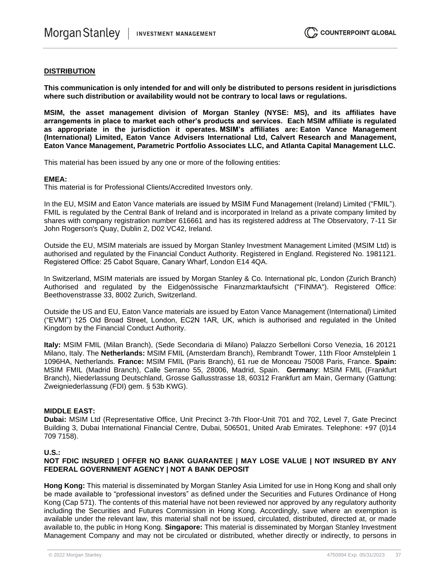#### **DISTRIBUTION**

**This communication is only intended for and will only be distributed to persons resident in jurisdictions where such distribution or availability would not be contrary to local laws or regulations.**

**MSIM, the asset management division of Morgan Stanley (NYSE: MS), and its affiliates have arrangements in place to market each other's products and services. Each MSIM affiliate is regulated as appropriate in the jurisdiction it operates. MSIM's affiliates are: Eaton Vance Management (International) Limited, Eaton Vance Advisers International Ltd, Calvert Research and Management, Eaton Vance Management, Parametric Portfolio Associates LLC, and Atlanta Capital Management LLC.**

This material has been issued by any one or more of the following entities:

#### **EMEA:**

This material is for Professional Clients/Accredited Investors only.

In the EU, MSIM and Eaton Vance materials are issued by MSIM Fund Management (Ireland) Limited ("FMIL"). FMIL is regulated by the Central Bank of Ireland and is incorporated in Ireland as a private company limited by shares with company registration number 616661 and has its registered address at The Observatory, 7-11 Sir John Rogerson's Quay, Dublin 2, D02 VC42, Ireland.

Outside the EU, MSIM materials are issued by Morgan Stanley Investment Management Limited (MSIM Ltd) is authorised and regulated by the Financial Conduct Authority. Registered in England. Registered No. 1981121. Registered Office: 25 Cabot Square, Canary Wharf, London E14 4QA.

In Switzerland, MSIM materials are issued by Morgan Stanley & Co. International plc, London (Zurich Branch) Authorised and regulated by the Eidgenössische Finanzmarktaufsicht ("FINMA"). Registered Office: Beethovenstrasse 33, 8002 Zurich, Switzerland.

Outside the US and EU, Eaton Vance materials are issued by Eaton Vance Management (International) Limited ("EVMI") 125 Old Broad Street, London, EC2N 1AR, UK, which is authorised and regulated in the United Kingdom by the Financial Conduct Authority.

**Italy:** MSIM FMIL (Milan Branch), (Sede Secondaria di Milano) Palazzo Serbelloni Corso Venezia, 16 20121 Milano, Italy. The **Netherlands:** MSIM FMIL (Amsterdam Branch), Rembrandt Tower, 11th Floor Amstelplein 1 1096HA, Netherlands. **France:** MSIM FMIL (Paris Branch), 61 rue de Monceau 75008 Paris, France. **Spain:**  MSIM FMIL (Madrid Branch), Calle Serrano 55, 28006, Madrid, Spain. **Germany**: MSIM FMIL (Frankfurt Branch), Niederlassung Deutschland, Grosse Gallusstrasse 18, 60312 Frankfurt am Main, Germany (Gattung: Zweigniederlassung (FDI) gem. § 53b KWG).

#### **MIDDLE EAST:**

**Dubai:** MSIM Ltd (Representative Office, Unit Precinct 3-7th Floor-Unit 701 and 702, Level 7, Gate Precinct Building 3, Dubai International Financial Centre, Dubai, 506501, United Arab Emirates. Telephone: +97 (0)14 709 7158).

#### **U.S.:**

#### **NOT FDIC INSURED | OFFER NO BANK GUARANTEE | MAY LOSE VALUE | NOT INSURED BY ANY FEDERAL GOVERNMENT AGENCY | NOT A BANK DEPOSIT**

**Hong Kong:** This material is disseminated by Morgan Stanley Asia Limited for use in Hong Kong and shall only be made available to "professional investors" as defined under the Securities and Futures Ordinance of Hong Kong (Cap 571). The contents of this material have not been reviewed nor approved by any regulatory authority including the Securities and Futures Commission in Hong Kong. Accordingly, save where an exemption is available under the relevant law, this material shall not be issued, circulated, distributed, directed at, or made available to, the public in Hong Kong. **Singapore:** This material is disseminated by Morgan Stanley Investment Management Company and may not be circulated or distributed, whether directly or indirectly, to persons in